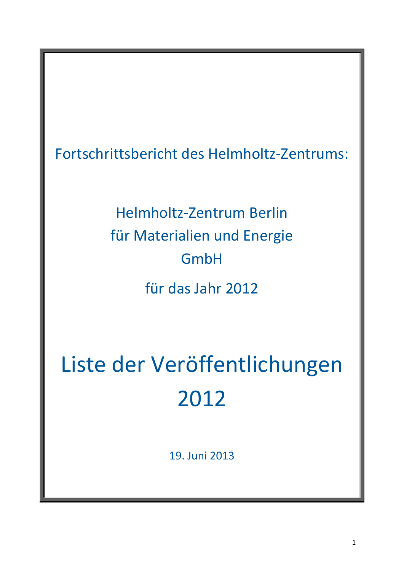Fortschrittsbericht des Helmholtz-Zentrums:

Helmholtz-Zentrum Berlin für Materialien und Energie GmbH für das Jahr 2012

Liste der Veröffentlichungen 2012

19. Juni 2013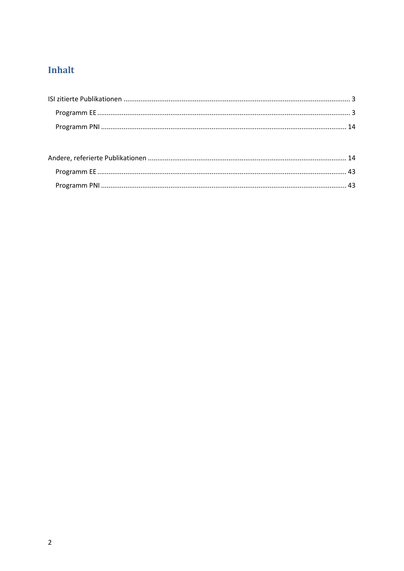# Inhalt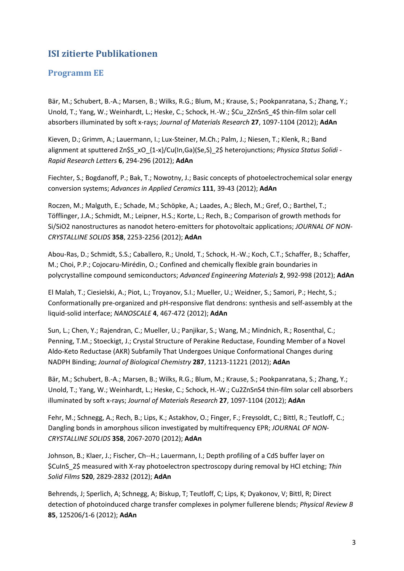## <span id="page-2-0"></span>**ISI zitierte Publikationen**

#### <span id="page-2-1"></span>**Programm EE**

Bär, M.; Schubert, B.-A.; Marsen, B.; Wilks, R.G.; Blum, M.; Krause, S.; Pookpanratana, S.; Zhang, Y.; Unold, T.; Yang, W.; Weinhardt, L.; Heske, C.; Schock, H.-W.; \$Cu\_2ZnSnS\_4\$ thin-film solar cell absorbers illuminated by soft x-rays; *Journal of Materials Research* **27**, 1097-1104 (2012); **AdAn**

Kieven, D.; Grimm, A.; Lauermann, I.; Lux-Steiner, M.Ch.; Palm, J.; Niesen, T.; Klenk, R.; Band alignment at sputtered Zn\$S\_xO\_{1-x}/Cu(In,Ga)(Se,S)\_2\$ heterojunctions; *Physica Status Solidi - Rapid Research Letters* **6**, 294-296 (2012); **AdAn**

Fiechter, S.; Bogdanoff, P.; Bak, T.; Nowotny, J.; Basic concepts of photoelectrochemical solar energy conversion systems; *Advances in Applied Ceramics* **111**, 39-43 (2012); **AdAn**

Roczen, M.; Malguth, E.; Schade, M.; Schöpke, A.; Laades, A.; Blech, M.; Gref, O.; Barthel, T.; Töfflinger, J.A.; Schmidt, M.; Leipner, H.S.; Korte, L.; Rech, B.; Comparison of growth methods for Si/SiO2 nanostructures as nanodot hetero-emitters for photovoltaic applications; *JOURNAL OF NON-CRYSTALLINE SOLIDS* **358**, 2253-2256 (2012); **AdAn**

Abou-Ras, D.; Schmidt, S.S.; Caballero, R.; Unold, T.; Schock, H.-W.; Koch, C.T.; Schaffer, B.; Schaffer, M.; Choi, P.P.; Cojocaru-Mirédin, O.; Confined and chemically flexible grain boundaries in polycrystalline compound semiconductors; *Advanced Engineering Materials* **2**, 992-998 (2012); **AdAn**

El Malah, T.; Ciesielski, A.; Piot, L.; Troyanov, S.I.; Mueller, U.; Weidner, S.; Samori, P.; Hecht, S.; Conformationally pre-organized and pH-responsive flat dendrons: synthesis and self-assembly at the liquid-solid interface; *NANOSCALE* **4**, 467-472 (2012); **AdAn**

Sun, L.; Chen, Y.; Rajendran, C.; Mueller, U.; Panjikar, S.; Wang, M.; Mindnich, R.; Rosenthal, C.; Penning, T.M.; Stoeckigt, J.; Crystal Structure of Perakine Reductase, Founding Member of a Novel Aldo-Keto Reductase (AKR) Subfamily That Undergoes Unique Conformational Changes during NADPH Binding; *Journal of Biological Chemistry* **287**, 11213-11221 (2012); **AdAn**

Bär, M.; Schubert, B.-A.; Marsen, B.; Wilks, R.G.; Blum, M.; Krause, S.; Pookpanratana, S.; Zhang, Y.; Unold, T.; Yang, W.; Weinhardt, L.; Heske, C.; Schock, H.-W.; Cu2ZnSnS4 thin-film solar cell absorbers illuminated by soft x-rays; *Journal of Materials Research* **27**, 1097-1104 (2012); **AdAn**

Fehr, M.; Schnegg, A.; Rech, B.; Lips, K.; Astakhov, O.; Finger, F.; Freysoldt, C.; Bittl, R.; Teutloff, C.; Dangling bonds in amorphous silicon investigated by multifrequency EPR; *JOURNAL OF NON-CRYSTALLINE SOLIDS* **358**, 2067-2070 (2012); **AdAn**

Johnson, B.; Klaer, J.; Fischer, Ch--H.; Lauermann, I.; Depth profiling of a CdS buffer layer on \$CuInS\_2\$ measured with X-ray photoelectron spectroscopy during removal by HCl etching; *Thin Solid Films* **520**, 2829-2832 (2012); **AdAn**

Behrends, J; Sperlich, A; Schnegg, A; Biskup, T; Teutloff, C; Lips, K; Dyakonov, V; Bittl, R; Direct detection of photoinduced charge transfer complexes in polymer fullerene blends; *Physical Review B* **85**, 125206/1-6 (2012); **AdAn**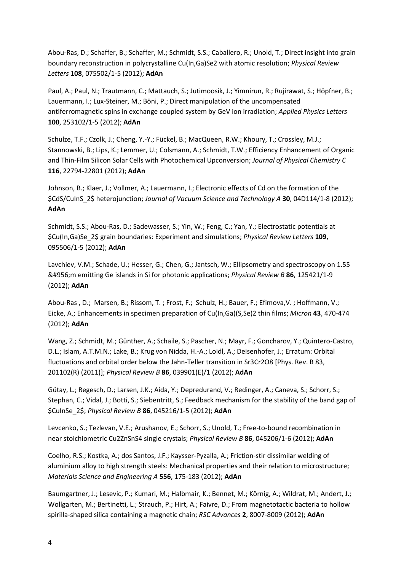Abou-Ras, D.; Schaffer, B.; Schaffer, M.; Schmidt, S.S.; Caballero, R.; Unold, T.; Direct insight into grain boundary reconstruction in polycrystalline Cu(In,Ga)Se2 with atomic resolution; *Physical Review Letters* **108**, 075502/1-5 (2012); **AdAn**

Paul, A.; Paul, N.; Trautmann, C.; Mattauch, S.; Jutimoosik, J.; Yimnirun, R.; Rujirawat, S.; Höpfner, B.; Lauermann, I.; Lux-Steiner, M.; Böni, P.; Direct manipulation of the uncompensated antiferromagnetic spins in exchange coupled system by GeV ion irradiation; *Applied Physics Letters* **100**, 253102/1-5 (2012); **AdAn**

Schulze, T.F.; Czolk, J.; Cheng, Y.-Y.; Fückel, B.; MacQueen, R.W.; Khoury, T.; Crossley, M.J.; Stannowski, B.; Lips, K.; Lemmer, U.; Colsmann, A.; Schmidt, T.W.; Efficiency Enhancement of Organic and Thin-Film Silicon Solar Cells with Photochemical Upconversion; *Journal of Physical Chemistry C* **116**, 22794-22801 (2012); **AdAn**

Johnson, B.; Klaer, J.; Vollmer, A.; Lauermann, I.; Electronic effects of Cd on the formation of the \$CdS/CuInS\_2\$ heterojunction; *Journal of Vacuum Science and Technology A* **30**, 04D114/1-8 (2012); **AdAn**

Schmidt, S.S.; Abou-Ras, D.; Sadewasser, S.; Yin, W.; Feng, C.; Yan, Y.; Electrostatic potentials at \$Cu(In,Ga)Se\_2\$ grain boundaries: Experiment and simulations; *Physical Review Letters* **109**, 095506/1-5 (2012); **AdAn**

Lavchiev, V.M.; Schade, U.; Hesser, G.; Chen, G.; Jantsch, W.; Ellipsometry and spectroscopy on 1.55 μm emitting Ge islands in Si for photonic applications; *Physical Review B* **86**, 125421/1-9 (2012); **AdAn**

Abou-Ras , D.; Marsen, B.; Rissom, T. ; Frost, F.; Schulz, H.; Bauer, F.; Efimova,V. ; Hoffmann, V.; Eicke, A.; Enhancements in specimen preparation of Cu(In,Ga)(S,Se)2 thin films; *Micron* **43**, 470-474 (2012); **AdAn**

Wang, Z.; Schmidt, M.; Günther, A.; Schaile, S.; Pascher, N.; Mayr, F.; Goncharov, Y.; Quintero-Castro, D.L.; Islam, A.T.M.N.; Lake, B.; Krug von Nidda, H.-A.; Loidl, A.; Deisenhofer, J.; Erratum: Orbital fluctuations and orbital order below the Jahn-Teller transition in Sr3Cr2O8 [Phys. Rev. B 83, 201102(R) (2011)]; *Physical Review B* **86**, 039901(E)/1 (2012); **AdAn**

Gütay, L.; Regesch, D.; Larsen, J.K.; Aida, Y.; Depredurand, V.; Redinger, A.; Caneva, S.; Schorr, S.; Stephan, C.; Vidal, J.; Botti, S.; Siebentritt, S.; Feedback mechanism for the stability of the band gap of \$CuInSe\_2\$; *Physical Review B* **86**, 045216/1-5 (2012); **AdAn**

Levcenko, S.; Tezlevan, V.E.; Arushanov, E.; Schorr, S.; Unold, T.; Free-to-bound recombination in near stoichiometric Cu2ZnSnS4 single crystals; *Physical Review B* **86**, 045206/1-6 (2012); **AdAn**

Coelho, R.S.; Kostka, A.; dos Santos, J.F.; Kaysser-Pyzalla, A.; Friction-stir dissimilar welding of aluminium alloy to high strength steels: Mechanical properties and their relation to microstructure; *Materials Science and Engineering A* **556**, 175-183 (2012); **AdAn**

Baumgartner, J.; Lesevic, P.; Kumari, M.; Halbmair, K.; Bennet, M.; Körnig, A.; Wildrat, M.; Andert, J.; Wollgarten, M.; Bertinetti, L.; Strauch, P.; Hirt, A.; Faivre, D.; From magnetotactic bacteria to hollow spirilla-shaped silica containing a magnetic chain; *RSC Advances* **2**, 8007-8009 (2012); **AdAn**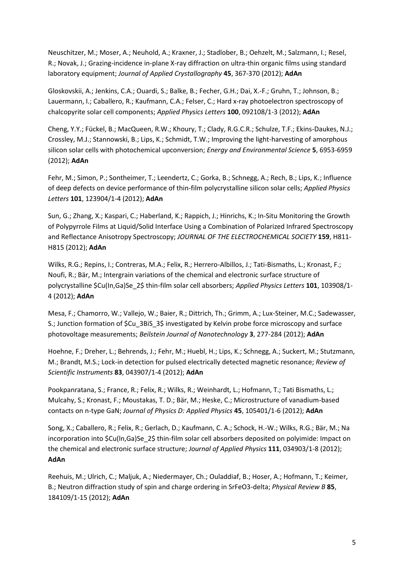Neuschitzer, M.; Moser, A.; Neuhold, A.; Kraxner, J.; Stadlober, B.; Oehzelt, M.; Salzmann, I.; Resel, R.; Novak, J.; Grazing-incidence in-plane X-ray diffraction on ultra-thin organic films using standard laboratory equipment; *Journal of Applied Crystallography* **45**, 367-370 (2012); **AdAn**

Gloskovskii, A.; Jenkins, C.A.; Ouardi, S.; Balke, B.; Fecher, G.H.; Dai, X.-F.; Gruhn, T.; Johnson, B.; Lauermann, I.; Caballero, R.; Kaufmann, C.A.; Felser, C.; Hard x-ray photoelectron spectroscopy of chalcopyrite solar cell components; *Applied Physics Letters* **100**, 092108/1-3 (2012); **AdAn**

Cheng, Y.Y.; Fückel, B.; MacQueen, R.W.; Khoury, T.; Clady, R.G.C.R.; Schulze, T.F.; Ekins-Daukes, N.J.; Crossley, M.J.; Stannowski, B.; Lips, K.; Schmidt, T.W.; Improving the light-harvesting of amorphous silicon solar cells with photochemical upconversion; *Energy and Environmental Science* **5**, 6953-6959 (2012); **AdAn**

Fehr, M.; Simon, P.; Sontheimer, T.; Leendertz, C.; Gorka, B.; Schnegg, A.; Rech, B.; Lips, K.; Influence of deep defects on device performance of thin-film polycrystalline silicon solar cells; *Applied Physics Letters* **101**, 123904/1-4 (2012); **AdAn**

Sun, G.; Zhang, X.; Kaspari, C.; Haberland, K.; Rappich, J.; Hinrichs, K.; In-Situ Monitoring the Growth of Polypyrrole Films at Liquid/Solid Interface Using a Combination of Polarized Infrared Spectroscopy and Reflectance Anisotropy Spectroscopy; *JOURNAL OF THE ELECTROCHEMICAL SOCIETY* **159**, H811- H815 (2012); **AdAn**

Wilks, R.G.; Repins, I.; Contreras, M.A.; Felix, R.; Herrero-Albillos, J.; Tati-Bismaths, L.; Kronast, F.; Noufi, R.; Bär, M.; Intergrain variations of the chemical and electronic surface structure of polycrystalline \$Cu(In,Ga)Se\_2\$ thin-film solar cell absorbers; *Applied Physics Letters* **101**, 103908/1- 4 (2012); **AdAn**

Mesa, F.; Chamorro, W.; Vallejo, W.; Baier, R.; Dittrich, Th.; Grimm, A.; Lux-Steiner, M.C.; Sadewasser, S.; Junction formation of \$Cu\_3BiS\_3\$ investigated by Kelvin probe force microscopy and surface photovoltage measurements; *Beilstein Journal of Nanotechnology* **3**, 277-284 (2012); **AdAn**

Hoehne, F.; Dreher, L.; Behrends, J.; Fehr, M.; Huebl, H.; Lips, K.; Schnegg, A.; Suckert, M.; Stutzmann, M.; Brandt, M.S.; Lock-in detection for pulsed electrically detected magnetic resonance; *Review of Scientific Instruments* **83**, 043907/1-4 (2012); **AdAn**

Pookpanratana, S.; France, R.; Felix, R.; Wilks, R.; Weinhardt, L.; Hofmann, T.; Tati Bismaths, L.; Mulcahy, S.; Kronast, F.; Moustakas, T. D.; Bär, M.; Heske, C.; Microstructure of vanadium-based contacts on n-type GaN; *Journal of Physics D: Applied Physics* **45**, 105401/1-6 (2012); **AdAn**

Song, X.; Caballero, R.; Felix, R.; Gerlach, D.; Kaufmann, C. A.; Schock, H.-W.; Wilks, R.G.; Bär, M.; Na incorporation into \$Cu(In,Ga)Se\_2\$ thin-film solar cell absorbers deposited on polyimide: Impact on the chemical and electronic surface structure; *Journal of Applied Physics* **111**, 034903/1-8 (2012); **AdAn**

Reehuis, M.; Ulrich, C.; Maljuk, A.; Niedermayer, Ch.; Ouladdiaf, B.; Hoser, A.; Hofmann, T.; Keimer, B.; Neutron diffraction study of spin and charge ordering in SrFeO3-delta; *Physical Review B* **85**, 184109/1-15 (2012); **AdAn**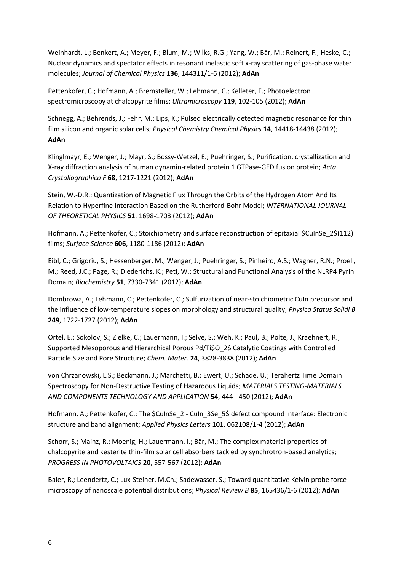Weinhardt, L.; Benkert, A.; Meyer, F.; Blum, M.; Wilks, R.G.; Yang, W.; Bär, M.; Reinert, F.; Heske, C.; Nuclear dynamics and spectator effects in resonant inelastic soft x-ray scattering of gas-phase water molecules; *Journal of Chemical Physics* **136**, 144311/1-6 (2012); **AdAn**

Pettenkofer, C.; Hofmann, A.; Bremsteller, W.; Lehmann, C.; Kelleter, F.; Photoelectron spectromicroscopy at chalcopyrite films; *Ultramicroscopy* **119**, 102-105 (2012); **AdAn**

Schnegg, A.; Behrends, J.; Fehr, M.; Lips, K.; Pulsed electrically detected magnetic resonance for thin film silicon and organic solar cells; *Physical Chemistry Chemical Physics* **14**, 14418-14438 (2012); **AdAn**

Klinglmayr, E.; Wenger, J.; Mayr, S.; Bossy-Wetzel, E.; Puehringer, S.; Purification, crystallization and X-ray diffraction analysis of human dynamin-related protein 1 GTPase-GED fusion protein; *Acta Crystallographica F* **68**, 1217-1221 (2012); **AdAn**

Stein, W.-D.R.; Quantization of Magnetic Flux Through the Orbits of the Hydrogen Atom And Its Relation to Hyperfine Interaction Based on the Rutherford-Bohr Model; *INTERNATIONAL JOURNAL OF THEORETICAL PHYSICS* **51**, 1698-1703 (2012); **AdAn**

Hofmann, A.; Pettenkofer, C.; Stoichiometry and surface reconstruction of epitaxial \$CuInSe\_2\$(112) films; *Surface Science* **606**, 1180-1186 (2012); **AdAn**

Eibl, C.; Grigoriu, S.; Hessenberger, M.; Wenger, J.; Puehringer, S.; Pinheiro, A.S.; Wagner, R.N.; Proell, M.; Reed, J.C.; Page, R.; Diederichs, K.; Peti, W.; Structural and Functional Analysis of the NLRP4 Pyrin Domain; *Biochemistry* **51**, 7330-7341 (2012); **AdAn**

Dombrowa, A.; Lehmann, C.; Pettenkofer, C.; Sulfurization of near-stoichiometric CuIn precursor and the influence of low-temperature slopes on morphology and structural quality; *Physica Status Solidi B* **249**, 1722-1727 (2012); **AdAn**

Ortel, E.; Sokolov, S.; Zielke, C.; Lauermann, I.; Selve, S.; Weh, K.; Paul, B.; Polte, J.; Kraehnert, R.; Supported Mesoporous and Hierarchical Porous Pd/Ti\$O\_2\$ Catalytic Coatings with Controlled Particle Size and Pore Structure; *Chem. Mater.* **24**, 3828-3838 (2012); **AdAn**

von Chrzanowski, L.S.; Beckmann, J.; Marchetti, B.; Ewert, U.; Schade, U.; Terahertz Time Domain Spectroscopy for Non-Destructive Testing of Hazardous Liquids; *MATERIALS TESTING-MATERIALS AND COMPONENTS TECHNOLOGY AND APPLICATION* **54**, 444 - 450 (2012); **AdAn**

Hofmann, A.; Pettenkofer, C.; The \$CuInSe\_2 - CuIn\_3Se\_5\$ defect compound interface: Electronic structure and band alignment; *Applied Physics Letters* **101**, 062108/1-4 (2012); **AdAn**

Schorr, S.; Mainz, R.; Moenig, H.; Lauermann, I.; Bär, M.; The complex material properties of chalcopyrite and kesterite thin-film solar cell absorbers tackled by synchrotron-based analytics; *PROGRESS IN PHOTOVOLTAICS* **20**, 557-567 (2012); **AdAn**

Baier, R.; Leendertz, C.; Lux-Steiner, M.Ch.; Sadewasser, S.; Toward quantitative Kelvin probe force microscopy of nanoscale potential distributions; *Physical Review B* **85**, 165436/1-6 (2012); **AdAn**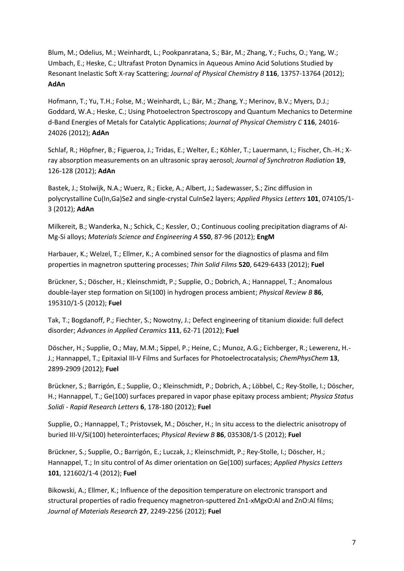Blum, M.; Odelius, M.; Weinhardt, L.; Pookpanratana, S.; Bär, M.; Zhang, Y.; Fuchs, O.; Yang, W.; Umbach, E.; Heske, C.; Ultrafast Proton Dynamics in Aqueous Amino Acid Solutions Studied by Resonant Inelastic Soft X-ray Scattering; *Journal of Physical Chemistry B* **116**, 13757-13764 (2012); **AdAn**

Hofmann, T.; Yu, T.H.; Folse, M.; Weinhardt, L.; Bär, M.; Zhang, Y.; Merinov, B.V.; Myers, D.J.; Goddard, W.A.; Heske, C.; Using Photoelectron Spectroscopy and Quantum Mechanics to Determine d-Band Energies of Metals for Catalytic Applications; *Journal of Physical Chemistry C* **116**, 24016- 24026 (2012); **AdAn**

Schlaf, R.; Höpfner, B.; Figueroa, J.; Tridas, E.; Welter, E.; Köhler, T.; Lauermann, I.; Fischer, Ch.-H.; Xray absorption measurements on an ultrasonic spray aerosol; *Journal of Synchrotron Radiation* **19**, 126-128 (2012); **AdAn**

Bastek, J.; Stolwijk, N.A.; Wuerz, R.; Eicke, A.; Albert, J.; Sadewasser, S.; Zinc diffusion in polycrystalline Cu(In,Ga)Se2 and single-crystal CuInSe2 layers; *Applied Physics Letters* **101**, 074105/1- 3 (2012); **AdAn**

Milkereit, B.; Wanderka, N.; Schick, C.; Kessler, O.; Continuous cooling precipitation diagrams of Al-Mg-Si alloys; *Materials Science and Engineering A* **550**, 87-96 (2012); **EngM**

Harbauer, K.; Welzel, T.; Ellmer, K.; A combined sensor for the diagnostics of plasma and film properties in magnetron sputtering processes; *Thin Solid Films* **520**, 6429-6433 (2012); **Fuel**

Brückner, S.; Döscher, H.; Kleinschmidt, P.; Supplie, O.; Dobrich, A.; Hannappel, T.; Anomalous double-layer step formation on Si(100) in hydrogen process ambient; *Physical Review B* **86**, 195310/1-5 (2012); **Fuel**

Tak, T.; Bogdanoff, P.; Fiechter, S.; Nowotny, J.; Defect engineering of titanium dioxide: full defect disorder; *Advances in Applied Ceramics* **111**, 62-71 (2012); **Fuel**

Döscher, H.; Supplie, O.; May, M.M.; Sippel, P.; Heine, C.; Munoz, A.G.; Eichberger, R.; Lewerenz, H.- J.; Hannappel, T.; Epitaxial III-V Films and Surfaces for Photoelectrocatalysis; *ChemPhysChem* **13**, 2899-2909 (2012); **Fuel**

Brückner, S.; Barrigón, E.; Supplie, O.; Kleinschmidt, P.; Dobrich, A.; Löbbel, C.; Rey-Stolle, I.; Döscher, H.; Hannappel, T.; Ge(100) surfaces prepared in vapor phase epitaxy process ambient; *Physica Status Solidi - Rapid Research Letters* **6**, 178-180 (2012); **Fuel**

Supplie, O.; Hannappel, T.; Pristovsek, M.; Döscher, H.; In situ access to the dielectric anisotropy of buried III-V/Si(100) heterointerfaces; *Physical Review B* **86**, 035308/1-5 (2012); **Fuel**

Brückner, S.; Supplie, O.; Barrigón, E.; Luczak, J.; Kleinschmidt, P.; Rey-Stolle, I.; Döscher, H.; Hannappel, T.; In situ control of As dimer orientation on Ge(100) surfaces; *Applied Physics Letters* **101**, 121602/1-4 (2012); **Fuel**

Bikowski, A.; Ellmer, K.; Influence of the deposition temperature on electronic transport and structural properties of radio frequency magnetron-sputtered Zn1-xMgxO:Al and ZnO:Al films; *Journal of Materials Research* **27**, 2249-2256 (2012); **Fuel**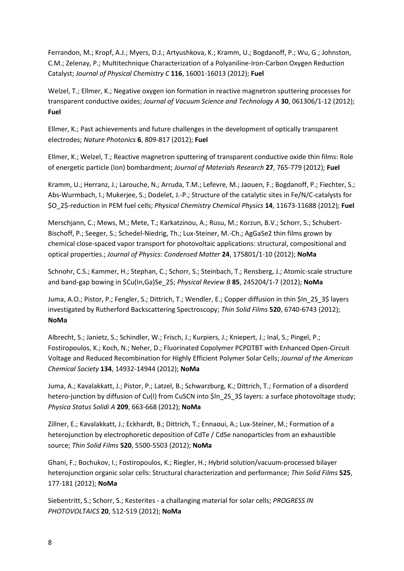Ferrandon, M.; Kropf, A.J.; Myers, D.J.; Artyushkova, K.; Kramm, U.; Bogdanoff, P.; Wu, G.; Johnston, C.M.; Zelenay, P.; Multitechnique Characterization of a Polyaniline-Iron-Carbon Oxygen Reduction Catalyst; *Journal of Physical Chemistry C* **116**, 16001-16013 (2012); **Fuel**

Welzel, T.; Ellmer, K.; Negative oxygen ion formation in reactive magnetron sputtering processes for transparent conductive oxides; *Journal of Vacuum Science and Technology A* **30**, 061306/1-12 (2012); **Fuel**

Ellmer, K.; Past achievements and future challenges in the development of optically transparent electrodes; *Nature Photonics* **6**, 809-817 (2012); **Fuel**

Ellmer, K.; Welzel, T.; Reactive magnetron sputtering of transparent conductive oxide thin films: Role of energetic particle (Ion) bombardment; *Journal of Materials Research* **27**, 765-779 (2012); **Fuel**

Kramm, U.; Herranz, J.; Larouche, N.; Arruda, T.M.; Lefevre, M.; Jaouen, F.; Bogdanoff, P.; Fiechter, S.; Abs-Wurmbach, I.; Mukerjee, S.; Dodelet, J.-P.; Structure of the catalytic sites in Fe/N/C-catalysts for \$O\_2\$-reduction in PEM fuel cells; *Physical Chemistry Chemical Physics* **14**, 11673-11688 (2012); **Fuel**

Merschjann, C.; Mews, M.; Mete, T.; Karkatzinou, A.; Rusu, M.; Korzun, B.V.; Schorr, S.; Schubert-Bischoff, P.; Seeger, S.; Schedel-Niedrig, Th.; Lux-Steiner, M.-Ch.; AgGaSe2 thin films grown by chemical close-spaced vapor transport for photovoltaic applications: structural, compositional and optical properties.; *Journal of Physics: Condensed Matter* **24**, 175801/1-10 (2012); **NoMa**

Schnohr, C.S.; Kammer, H.; Stephan, C.; Schorr, S.; Steinbach, T.; Rensberg, J.; Atomic-scale structure and band-gap bowing in \$Cu(In,Ga)Se\_2\$; *Physical Review B* **85**, 245204/1-7 (2012); **NoMa**

Juma, A.O.; Pistor, P.; Fengler, S.; Dittrich, T.; Wendler, E.; Copper diffusion in thin \$In\_2S\_3\$ layers investigated by Rutherford Backscattering Spectroscopy; *Thin Solid Films* **520**, 6740-6743 (2012); **NoMa**

Albrecht, S.; Janietz, S.; Schindler, W.; Frisch, J.; Kurpiers, J.; Kniepert, J.; Inal, S.; Pingel, P.; Fostiropoulos, K.; Koch, N.; Neher, D.; Fluorinated Copolymer PCPDTBT with Enhanced Open-Circuit Voltage and Reduced Recombination for Highly Efficient Polymer Solar Cells; *Journal of the American Chemical Society* **134**, 14932-14944 (2012); **NoMa**

Juma, A.; Kavalakkatt, J.; Pistor, P.; Latzel, B.; Schwarzburg, K.; Dittrich, T.; Formation of a disorderd hetero-junction by diffusion of Cu(I) from CuSCN into \$In\_2S\_3\$ layers: a surface photovoltage study; *Physica Status Solidi A* **209**, 663-668 (2012); **NoMa**

Zillner, E.; Kavalakkatt, J.; Eckhardt, B.; Dittrich, T.; Ennaoui, A.; Lux-Steiner, M.; Formation of a heterojunction by electrophoretic deposition of CdTe / CdSe nanoparticles from an exhaustible source; *Thin Solid Films* **520**, 5500-5503 (2012); **NoMa**

Ghani, F.; Bochukov, I.; Fostiropoulos, K.; Riegler, H.; Hybrid solution/vacuum-processed bilayer heterojunction organic solar cells: Structural characterization and performance; *Thin Solid Films* **525**, 177-181 (2012); **NoMa**

Siebentritt, S.; Schorr, S.; Kesterites - a challanging material for solar cells; *PROGRESS IN PHOTOVOLTAICS* **20**, 512-519 (2012); **NoMa**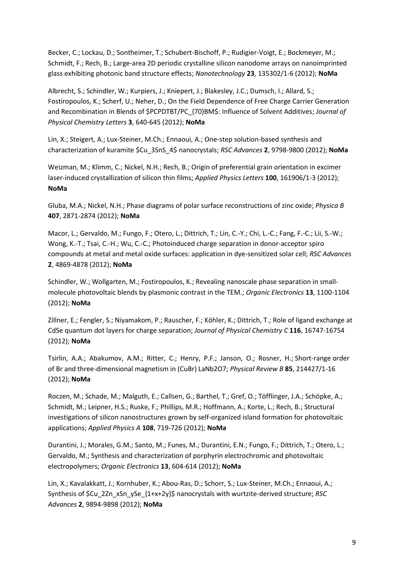Becker, C.; Lockau, D.; Sontheimer, T.; Schubert-Bischoff, P.; Rudigier-Voigt, E.; Bockmeyer, M.; Schmidt, F.; Rech, B.; Large-area 2D periodic crystalline silicon nanodome arrays on nanoimprinted glass exhibiting photonic band structure effects; *Nanotechnology* **23**, 135302/1-6 (2012); **NoMa**

Albrecht, S.; Schindler, W.; Kurpiers, J.; Kniepert, J.; Blakesley, J.C.; Dumsch, I.; Allard, S.; Fostiropoulos, K.; Scherf, U.; Neher, D.; On the Field Dependence of Free Charge Carrier Generation and Recombination in Blends of \$PCPDTBT/PC\_{70}BM\$: Influence of Solvent Additives; *Journal of Physical Chemistry Letters* **3**, 640-645 (2012); **NoMa**

Lin, X.; Steigert, A.; Lux-Steiner, M.Ch.; Ennaoui, A.; One-step solution-based synthesis and characterization of kuramite \$Cu\_3SnS\_4\$ nanocrystals; *RSC Advances* **2**, 9798-9800 (2012); **NoMa**

Weizman, M.; Klimm, C.; Nickel, N.H.; Rech, B.; Origin of preferential grain orientation in excimer laser-induced crystallization of silicon thin films; *Applied Physics Letters* **100**, 161906/1-3 (2012); **NoMa**

Gluba, M.A.; Nickel, N.H.; Phase diagrams of polar surface reconstructions of zinc oxide; *Physica B* **407**, 2871-2874 (2012); **NoMa**

Macor, L.; Gervaldo, M.; Fungo, F.; Otero, L.; Dittrich, T.; Lin, C.-Y.; Chi, L.-C.; Fang, F.-C.; Lii, S.-W.; Wong, K.-T.; Tsai, C.-H.; Wu, C.-C.; Photoinduced charge separation in donor-acceptor spiro compounds at metal and metal oxide surfaces: application in dye-sensitized solar cell; *RSC Advances* **2**, 4869-4878 (2012); **NoMa**

Schindler, W.; Wollgarten, M.; Fostiropoulos, K.; Revealing nanoscale phase separation in smallmolecule photovoltaic blends by plasmonic contrast in the TEM.; *Organic Electronics* **13**, 1100-1104 (2012); **NoMa**

Zillner, E.; Fengler, S.; Niyamakom, P.; Rauscher, F.; Köhler, K.; Dittrich, T.; Role of ligand exchange at CdSe quantum dot layers for charge separation; *Journal of Physical Chemistry C* **116**, 16747-16754 (2012); **NoMa**

Tsirlin, A.A.; Abakumov, A.M.; Ritter, C.; Henry, P.F.; Janson, O.; Rosner, H.; Short-range order of Br and three-dimensional magnetism in (CuBr) LaNb2O7; *Physical Review B* **85**, 214427/1-16 (2012); **NoMa**

Roczen, M.; Schade, M.; Malguth, E.; Callsen, G.; Barthel, T.; Gref, O.; Töfflinger, J.A.; Schöpke, A.; Schmidt, M.; Leipner, H.S.; Ruske, F.; Phillips, M.R.; Hoffmann, A.; Korte, L.; Rech, B.; Structural investigations of silicon nanostructures grown by self-organized island formation for photovoltaic applications; *Applied Physics A* **108**, 719-726 (2012); **NoMa**

Durantini, J.; Morales, G.M.; Santo, M.; Funes, M.; Durantini, E.N.; Fungo, F.; Dittrich, T.; Otero, L.; Gervaldo, M.; Synthesis and characterization of porphyrin electrochromic and photovoltaic electropolymers; *Organic Electronics* **13**, 604-614 (2012); **NoMa**

Lin, X.; Kavalakkatt, J.; Kornhuber, K.; Abou-Ras, D.; Schorr, S.; Lux-Steiner, M.Ch.; Ennaoui, A.; Synthesis of \$Cu\_2Zn\_xSn\_ySe\_{1+x+2y}\$ nanocrystals with wurtzite-derived structure; *RSC Advances* **2**, 9894-9898 (2012); **NoMa**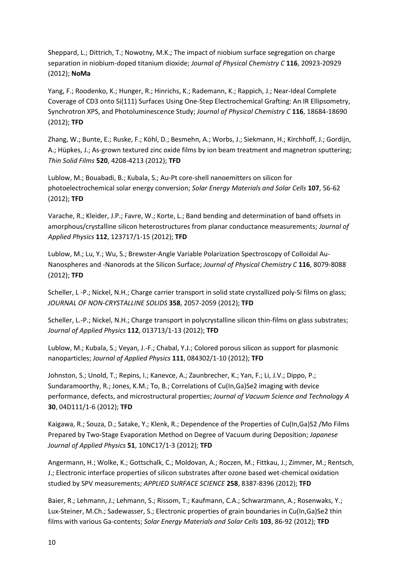Sheppard, L.; Dittrich, T.; Nowotny, M.K.; The impact of niobium surface segregation on charge separation in niobium-doped titanium dioxide; *Journal of Physical Chemistry C* **116**, 20923-20929 (2012); **NoMa**

Yang, F.; Roodenko, K.; Hunger, R.; Hinrichs, K.; Rademann, K.; Rappich, J.; Near-Ideal Complete Coverage of CD3 onto Si(111) Surfaces Using One-Step Electrochemical Grafting: An IR Ellipsometry, Synchrotron XPS, and Photoluminescence Study; *Journal of Physical Chemistry C* **116**, 18684-18690 (2012); **TFD**

Zhang, W.; Bunte, E.; Ruske, F.; Köhl, D.; Besmehn, A.; Worbs, J.; Siekmann, H.; Kirchhoff, J.; Gordijn, A.; Hüpkes, J.; As-grown textured zinc oxide films by ion beam treatment and magnetron sputtering; *Thin Solid Films* **520**, 4208-4213 (2012); **TFD**

Lublow, M.; Bouabadi, B.; Kubala, S.; Au-Pt core-shell nanoemitters on silicon for photoelectrochemical solar energy conversion; *Solar Energy Materials and Solar Cells* **107**, 56-62 (2012); **TFD**

Varache, R.; Kleider, J.P.; Favre, W.; Korte, L.; Band bending and determination of band offsets in amorphous/crystalline silicon heterostructures from planar conductance measurements; *Journal of Applied Physics* **112**, 123717/1-15 (2012); **TFD**

Lublow, M.; Lu, Y.; Wu, S.; Brewster-Angle Variable Polarization Spectroscopy of Colloidal Au-Nanospheres and -Nanorods at the Silicon Surface; *Journal of Physical Chemistry C* **116**, 8079-8088 (2012); **TFD**

Scheller, L -P.; Nickel, N.H.; Charge carrier transport in solid state crystallized poly-Si films on glass; *JOURNAL OF NON-CRYSTALLINE SOLIDS* **358**, 2057-2059 (2012); **TFD**

Scheller, L.-P.; Nickel, N.H.; Charge transport in polycrystalline silicon thin-films on glass substrates; *Journal of Applied Physics* **112**, 013713/1-13 (2012); **TFD**

Lublow, M.; Kubala, S.; Veyan, J.-F.; Chabal, Y.J.; Colored porous silicon as support for plasmonic nanoparticles; *Journal of Applied Physics* **111**, 084302/1-10 (2012); **TFD**

Johnston, S.; Unold, T.; Repins, I.; Kanevce, A.; Zaunbrecher, K.; Yan, F.; Li, J.V.; Dippo, P.; Sundaramoorthy, R.; Jones, K.M.; To, B.; Correlations of Cu(In,Ga)Se2 imaging with device performance, defects, and microstructural properties; *Journal of Vacuum Science and Technology A* **30**, 04D111/1-6 (2012); **TFD**

Kaigawa, R.; Souza, D.; Satake, Y.; Klenk, R.; Dependence of the Properties of Cu(In,Ga)S2 /Mo Films Prepared by Two-Stage Evaporation Method on Degree of Vacuum during Deposition; *Japanese Journal of Applied Physics* **51**, 10NC17/1-3 (2012); **TFD**

Angermann, H.; Wolke, K.; Gottschalk, C.; Moldovan, A.; Roczen, M.; Fittkau, J.; Zimmer, M.; Rentsch, J.; Electronic interface properties of silicon substrates after ozone based wet-chemical oxidation studied by SPV measurements; *APPLIED SURFACE SCIENCE* **258**, 8387-8396 (2012); **TFD**

Baier, R.; Lehmann, J.; Lehmann, S.; Rissom, T.; Kaufmann, C.A.; Schwarzmann, A.; Rosenwaks, Y.; Lux-Steiner, M.Ch.; Sadewasser, S.; Electronic properties of grain boundaries in Cu(In,Ga)Se2 thin films with various Ga-contents; *Solar Energy Materials and Solar Cells* **103**, 86-92 (2012); **TFD**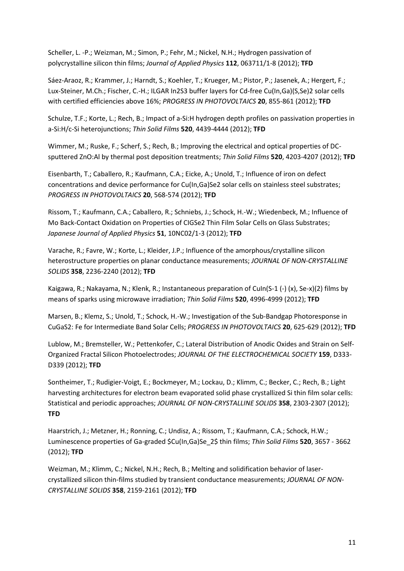Scheller, L. -P.; Weizman, M.; Simon, P.; Fehr, M.; Nickel, N.H.; Hydrogen passivation of polycrystalline silicon thin films; *Journal of Applied Physics* **112**, 063711/1-8 (2012); **TFD**

Sáez-Araoz, R.; Krammer, J.; Harndt, S.; Koehler, T.; Krueger, M.; Pistor, P.; Jasenek, A.; Hergert, F.; Lux-Steiner, M.Ch.; Fischer, C.-H.; ILGAR In2S3 buffer layers for Cd-free Cu(In,Ga)(S,Se)2 solar cells with certified efficiencies above 16%; *PROGRESS IN PHOTOVOLTAICS* **20**, 855-861 (2012); **TFD**

Schulze, T.F.; Korte, L.; Rech, B.; Impact of a-Si:H hydrogen depth profiles on passivation properties in a-Si:H/c-Si heterojunctions; *Thin Solid Films* **520**, 4439-4444 (2012); **TFD**

Wimmer, M.; Ruske, F.; Scherf, S.; Rech, B.; Improving the electrical and optical properties of DCsputtered ZnO:Al by thermal post deposition treatments; *Thin Solid Films* **520**, 4203-4207 (2012); **TFD**

Eisenbarth, T.; Caballero, R.; Kaufmann, C.A.; Eicke, A.; Unold, T.; Influence of iron on defect concentrations and device performance for Cu(In,Ga)Se2 solar cells on stainless steel substrates; *PROGRESS IN PHOTOVOLTAICS* **20**, 568-574 (2012); **TFD**

Rissom, T.; Kaufmann, C.A.; Caballero, R.; Schniebs, J.; Schock, H.-W.; Wiedenbeck, M.; Influence of Mo Back-Contact Oxidation on Properties of CIGSe2 Thin Film Solar Cells on Glass Substrates; *Japanese Journal of Applied Physics* **51**, 10NC02/1-3 (2012); **TFD**

Varache, R.; Favre, W.; Korte, L.; Kleider, J.P.; Influence of the amorphous/crystalline silicon heterostructure properties on planar conductance measurements; *JOURNAL OF NON-CRYSTALLINE SOLIDS* **358**, 2236-2240 (2012); **TFD**

Kaigawa, R.; Nakayama, N.; Klenk, R.; Instantaneous preparation of CuIn(S-1 (-) (x), Se-x)(2) films by means of sparks using microwave irradiation; *Thin Solid Films* **520**, 4996-4999 (2012); **TFD**

Marsen, B.; Klemz, S.; Unold, T.; Schock, H.-W.; Investigation of the Sub-Bandgap Photoresponse in CuGaS2: Fe for Intermediate Band Solar Cells; *PROGRESS IN PHOTOVOLTAICS* **20**, 625-629 (2012); **TFD**

Lublow, M.; Bremsteller, W.; Pettenkofer, C.; Lateral Distribution of Anodic Oxides and Strain on Self-Organized Fractal Silicon Photoelectrodes; *JOURNAL OF THE ELECTROCHEMICAL SOCIETY* **159**, D333- D339 (2012); **TFD**

Sontheimer, T.; Rudigier-Voigt, E.; Bockmeyer, M.; Lockau, D.; Klimm, C.; Becker, C.; Rech, B.; Light harvesting architectures for electron beam evaporated solid phase crystallized Si thin film solar cells: Statistical and periodic approaches; *JOURNAL OF NON-CRYSTALLINE SOLIDS* **358**, 2303-2307 (2012); **TFD**

Haarstrich, J.; Metzner, H.; Ronning, C.; Undisz, A.; Rissom, T.; Kaufmann, C.A.; Schock, H.W.; Luminescence properties of Ga-graded \$Cu(In,Ga)Se\_2\$ thin films; *Thin Solid Films* **520**, 3657 - 3662 (2012); **TFD**

Weizman, M.; Klimm, C.; Nickel, N.H.; Rech, B.; Melting and solidification behavior of lasercrystallized silicon thin-films studied by transient conductance measurements; *JOURNAL OF NON-CRYSTALLINE SOLIDS* **358**, 2159-2161 (2012); **TFD**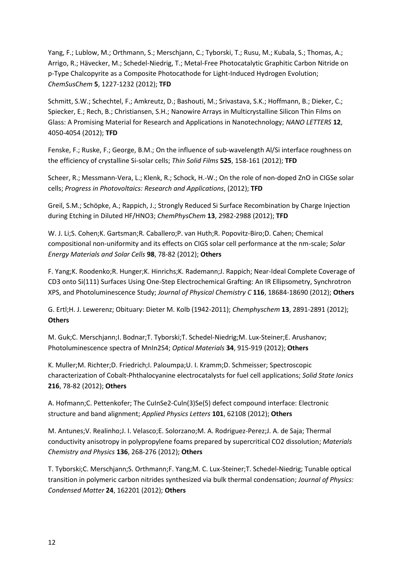Yang, F.; Lublow, M.; Orthmann, S.; Merschjann, C.; Tyborski, T.; Rusu, M.; Kubala, S.; Thomas, A.; Arrigo, R.; Hävecker, M.; Schedel-Niedrig, T.; Metal-Free Photocatalytic Graphitic Carbon Nitride on p-Type Chalcopyrite as a Composite Photocathode for Light-Induced Hydrogen Evolution; *ChemSusChem* **5**, 1227-1232 (2012); **TFD**

Schmitt, S.W.; Schechtel, F.; Amkreutz, D.; Bashouti, M.; Srivastava, S.K.; Hoffmann, B.; Dieker, C.; Spiecker, E.; Rech, B.; Christiansen, S.H.; Nanowire Arrays in Multicrystalline Silicon Thin Films on Glass: A Promising Material for Research and Applications in Nanotechnology; *NANO LETTERS* **12**, 4050-4054 (2012); **TFD**

Fenske, F.; Ruske, F.; George, B.M.; On the influence of sub-wavelength Al/Si interface roughness on the efficiency of crystalline Si-solar cells; *Thin Solid Films* **525**, 158-161 (2012); **TFD**

Scheer, R.; Messmann-Vera, L.; Klenk, R.; Schock, H.-W.; On the role of non-doped ZnO in CIGSe solar cells; *Progress in Photovoltaics: Research and Applications*, (2012); **TFD**

Greil, S.M.; Schöpke, A.; Rappich, J.; Strongly Reduced Si Surface Recombination by Charge Injection during Etching in Diluted HF/HNO3; *ChemPhysChem* **13**, 2982-2988 (2012); **TFD**

W. J. Li;S. Cohen;K. Gartsman;R. Caballero;P. van Huth;R. Popovitz-Biro;D. Cahen; Chemical compositional non-uniformity and its effects on CIGS solar cell performance at the nm-scale; *Solar Energy Materials and Solar Cells* **98**, 78-82 (2012); **Others**

F. Yang;K. Roodenko;R. Hunger;K. Hinrichs;K. Rademann;J. Rappich; Near-Ideal Complete Coverage of CD3 onto Si(111) Surfaces Using One-Step Electrochemical Grafting: An IR Ellipsometry, Synchrotron XPS, and Photoluminescence Study; *Journal of Physical Chemistry C* **116**, 18684-18690 (2012); **Others**

G. Ertl;H. J. Lewerenz; Obituary: Dieter M. Kolb (1942-2011); *Chemphyschem* **13**, 2891-2891 (2012); **Others**

M. Guk;C. Merschjann;I. Bodnar;T. Tyborski;T. Schedel-Niedrig;M. Lux-Steiner;E. Arushanov; Photoluminescence spectra of MnIn2S4; *Optical Materials* **34**, 915-919 (2012); **Others**

K. Muller;M. Richter;D. Friedrich;I. Paloumpa;U. I. Kramm;D. Schmeisser; Spectroscopic characterization of Cobalt-Phthalocyanine electrocatalysts for fuel cell applications; *Solid State Ionics* **216**, 78-82 (2012); **Others**

A. Hofmann;C. Pettenkofer; The CuInSe2-Culn(3)Se(5) defect compound interface: Electronic structure and band alignment; *Applied Physics Letters* **101**, 62108 (2012); **Others**

M. Antunes;V. Realinho;J. I. Velasco;E. Solorzano;M. A. Rodriguez-Perez;J. A. de Saja; Thermal conductivity anisotropy in polypropylene foams prepared by supercritical CO2 dissolution; *Materials Chemistry and Physics* **136**, 268-276 (2012); **Others**

T. Tyborski;C. Merschjann;S. Orthmann;F. Yang;M. C. Lux-Steiner;T. Schedel-Niedrig; Tunable optical transition in polymeric carbon nitrides synthesized via bulk thermal condensation; *Journal of Physics: Condensed Matter* **24**, 162201 (2012); **Others**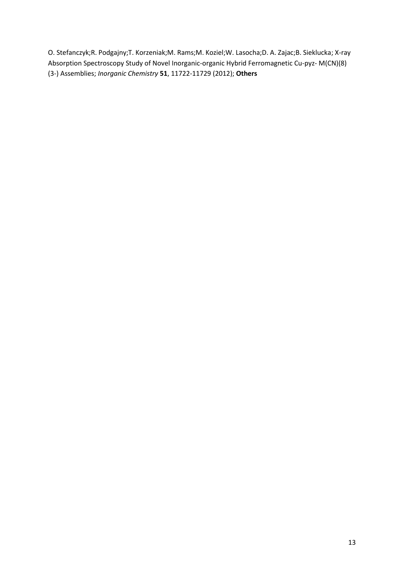O. Stefanczyk;R. Podgajny;T. Korzeniak;M. Rams;M. Koziel;W. Lasocha;D. A. Zajac;B. Sieklucka; X-ray Absorption Spectroscopy Study of Novel Inorganic-organic Hybrid Ferromagnetic Cu-pyz- M(CN)(8) (3-) Assemblies; *Inorganic Chemistry* **51**, 11722-11729 (2012); **Others**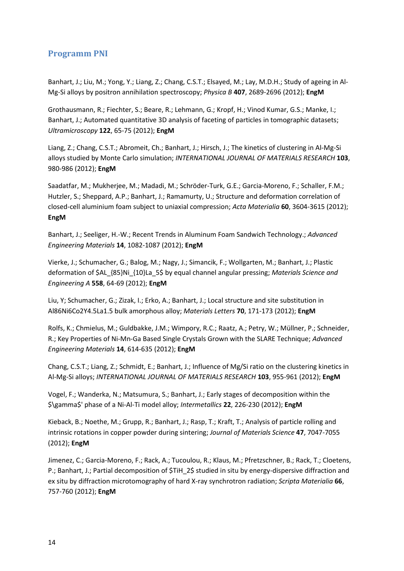#### <span id="page-13-0"></span>**Programm PNI**

<span id="page-13-1"></span>Banhart, J.; Liu, M.; Yong, Y.; Liang, Z.; Chang, C.S.T.; Elsayed, M.; Lay, M.D.H.; Study of ageing in Al-Mg-Si alloys by positron annihilation spectroscopy; *Physica B* **407**, 2689-2696 (2012); **EngM**

Grothausmann, R.; Fiechter, S.; Beare, R.; Lehmann, G.; Kropf, H.; Vinod Kumar, G.S.; Manke, I.; Banhart, J.; Automated quantitative 3D analysis of faceting of particles in tomographic datasets; *Ultramicroscopy* **122**, 65-75 (2012); **EngM**

Liang, Z.; Chang, C.S.T.; Abromeit, Ch.; Banhart, J.; Hirsch, J.; The kinetics of clustering in Al-Mg-Si alloys studied by Monte Carlo simulation; *INTERNATIONAL JOURNAL OF MATERIALS RESEARCH* **103**, 980-986 (2012); **EngM**

Saadatfar, M.; Mukherjee, M.; Madadi, M.; Schröder-Turk, G.E.; Garcia-Moreno, F.; Schaller, F.M.; Hutzler, S.; Sheppard, A.P.; Banhart, J.; Ramamurty, U.; Structure and deformation correlation of closed-cell aluminium foam subject to uniaxial compression; *Acta Materialia* **60**, 3604-3615 (2012); **EngM**

Banhart, J.; Seeliger, H.-W.; Recent Trends in Aluminum Foam Sandwich Technology.; *Advanced Engineering Materials* **14**, 1082-1087 (2012); **EngM**

Vierke, J.; Schumacher, G.; Balog, M.; Nagy, J.; Simancik, F.; Wollgarten, M.; Banhart, J.; Plastic deformation of \$AL\_{85}Ni\_{10}La\_5\$ by equal channel angular pressing; *Materials Science and Engineering A* **558**, 64-69 (2012); **EngM**

Liu, Y; Schumacher, G.; Zizak, I.; Erko, A.; Banhart, J.; Local structure and site substitution in Al86Ni6Co2Y4.5La1.5 bulk amorphous alloy; *Materials Letters* **70**, 171-173 (2012); **EngM**

Rolfs, K.; Chmielus, M.; Guldbakke, J.M.; Wimpory, R.C.; Raatz, A.; Petry, W.; Müllner, P.; Schneider, R.; Key Properties of Ni-Mn-Ga Based Single Crystals Grown with the SLARE Technique; *Advanced Engineering Materials* **14**, 614-635 (2012); **EngM**

Chang, C.S.T.; Liang, Z.; Schmidt, E.; Banhart, J.; Influence of Mg/Si ratio on the clustering kinetics in Al-Mg-Si alloys; *INTERNATIONAL JOURNAL OF MATERIALS RESEARCH* **103**, 955-961 (2012); **EngM**

Vogel, F.; Wanderka, N.; Matsumura, S.; Banhart, J.; Early stages of decomposition within the \$\gamma\$' phase of a Ni-Al-Ti model alloy; *Intermetallics* **22**, 226-230 (2012); **EngM**

Kieback, B.; Noethe, M.; Grupp, R.; Banhart, J.; Rasp, T.; Kraft, T.; Analysis of particle rolling and intrinsic rotations in copper powder during sintering; *Journal of Materials Science* **47**, 7047-7055 (2012); **EngM**

Jimenez, C.; Garcia-Moreno, F.; Rack, A.; Tucoulou, R.; Klaus, M.; Pfretzschner, B.; Rack, T.; Cloetens, P.; Banhart, J.; Partial decomposition of \$TiH\_2\$ studied in situ by energy-dispersive diffraction and ex situ by diffraction microtomography of hard X-ray synchrotron radiation; *Scripta Materialia* **66**, 757-760 (2012); **EngM**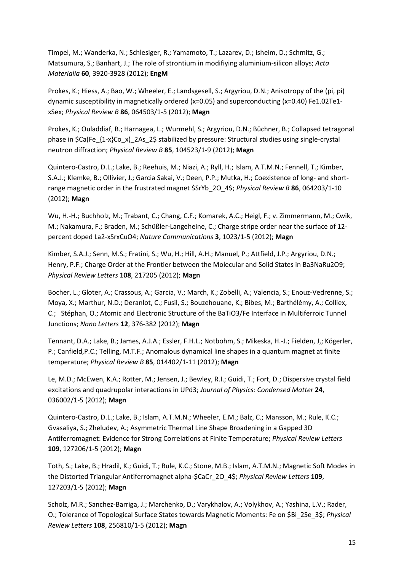Timpel, M.; Wanderka, N.; Schlesiger, R.; Yamamoto, T.; Lazarev, D.; Isheim, D.; Schmitz, G.; Matsumura, S.; Banhart, J.; The role of strontium in modifiying aluminium-silicon alloys; *Acta Materialia* **60**, 3920-3928 (2012); **EngM**

Prokes, K.; Hiess, A.; Bao, W.; Wheeler, E.; Landsgesell, S.; Argyriou, D.N.; Anisotropy of the (pi, pi) dynamic susceptibility in magnetically ordered (x=0.05) and superconducting (x=0.40) Fe1.02Te1 xSex; *Physical Review B* **86**, 064503/1-5 (2012); **Magn**

Prokes, K.; Ouladdiaf, B.; Harnagea, L.; Wurmehl, S.; Argyriou, D.N.; Büchner, B.; Collapsed tetragonal phase in \$Ca(Fe\_{1-x}Co\_x)\_2As\_2\$ stabilized by pressure: Structural studies using single-crystal neutron diffraction; *Physical Review B* **85**, 104523/1-9 (2012); **Magn**

Quintero-Castro, D.L.; Lake, B.; Reehuis, M.; Niazi, A.; Ryll, H.; Islam, A.T.M.N.; Fennell, T.; Kimber, S.A.J.; Klemke, B.; Ollivier, J.; Garcia Sakai, V.; Deen, P.P.; Mutka, H.; Coexistence of long- and shortrange magnetic order in the frustrated magnet \$SrYb\_2O\_4\$; *Physical Review B* **86**, 064203/1-10 (2012); **Magn**

Wu, H.-H.; Buchholz, M.; Trabant, C.; Chang, C.F.; Komarek, A.C.; Heigl, F.; v. Zimmermann, M.; Cwik, M.; Nakamura, F.; Braden, M.; Schüßler-Langeheine, C.; Charge stripe order near the surface of 12 percent doped La2-xSrxCuO4; *Nature Communications* **3**, 1023/1-5 (2012); **Magn**

Kimber, S.A.J.; Senn, M.S.; Fratini, S.; Wu, H.; Hill, A.H.; Manuel, P.; Attfield, J.P.; Argyriou, D.N.; Henry, P.F.; Charge Order at the Frontier between the Molecular and Solid States in Ba3NaRu2O9; *Physical Review Letters* **108**, 217205 (2012); **Magn**

Bocher, L.; Gloter, A.; Crassous, A.; Garcia, V.; March, K.; Zobelli, A.; Valencia, S.; Enouz-Vedrenne, S.; Moya, X.; Marthur, N.D.; Deranlot, C.; Fusil, S.; Bouzehouane, K.; Bibes, M.; Barthélémy, A.; Colliex, C.; Stéphan, O.; Atomic and Electronic Structure of the BaTiO3/Fe Interface in Multiferroic Tunnel Junctions; *Nano Letters* **12**, 376-382 (2012); **Magn**

Tennant, D.A.; Lake, B.; James, A.J.A.; Essler, F.H.L.; Notbohm, S.; Mikeska, H.-J.; Fielden, J,; Kögerler, P.; Canfield,P.C.; Telling, M.T.F.; Anomalous dynamical line shapes in a quantum magnet at finite temperature; *Physical Review B* **85**, 014402/1-11 (2012); **Magn**

Le, M.D.; McEwen, K.A.; Rotter, M.; Jensen, J.; Bewley, R.I.; Guidi, T.; Fort, D.; Dispersive crystal field excitations and quadrupolar interactions in UPd3; *Journal of Physics: Condensed Matter* **24**, 036002/1-5 (2012); **Magn**

Quintero-Castro, D.L.; Lake, B.; Islam, A.T.M.N.; Wheeler, E.M.; Balz, C.; Mansson, M.; Rule, K.C.; Gvasaliya, S.; Zheludev, A.; Asymmetric Thermal Line Shape Broadening in a Gapped 3D Antiferromagnet: Evidence for Strong Correlations at Finite Temperature; *Physical Review Letters* **109**, 127206/1-5 (2012); **Magn**

Toth, S.; Lake, B.; Hradil, K.; Guidi, T.; Rule, K.C.; Stone, M.B.; Islam, A.T.M.N.; Magnetic Soft Modes in the Distorted Triangular Antiferromagnet alpha-\$CaCr\_2O\_4\$; *Physical Review Letters* **109**, 127203/1-5 (2012); **Magn**

Scholz, M.R.; Sanchez-Barriga, J.; Marchenko, D.; Varykhalov, A.; Volykhov, A.; Yashina, L.V.; Rader, O.; Tolerance of Topological Surface States towards Magnetic Moments: Fe on \$Bi\_2Se\_3\$; *Physical Review Letters* **108**, 256810/1-5 (2012); **Magn**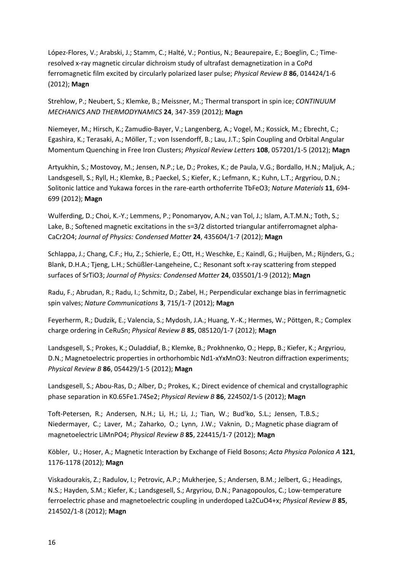López-Flores, V.; Arabski, J.; Stamm, C.; Halté, V.; Pontius, N.; Beaurepaire, E.; Boeglin, C.; Timeresolved x-ray magnetic circular dichroism study of ultrafast demagnetization in a CoPd ferromagnetic film excited by circularly polarized laser pulse; *Physical Review B* **86**, 014424/1-6 (2012); **Magn**

Strehlow, P.; Neubert, S.; Klemke, B.; Meissner, M.; Thermal transport in spin ice; *CONTINUUM MECHANICS AND THERMODYNAMICS* **24**, 347-359 (2012); **Magn**

Niemeyer, M.; Hirsch, K.; Zamudio-Bayer, V.; Langenberg, A.; Vogel, M.; Kossick, M.; Ebrecht, C.; Egashira, K.; Terasaki, A.; Möller, T.; von Issendorff, B.; Lau, J.T.; Spin Coupling and Orbital Angular Momentum Quenching in Free Iron Clusters; *Physical Review Letters* **108**, 057201/1-5 (2012); **Magn**

Artyukhin, S.; Mostovoy, M.; Jensen, N.P.; Le, D.; Prokes, K.; de Paula, V.G.; Bordallo, H.N.; Maljuk, A.; Landsgesell, S.; Ryll, H.; Klemke, B.; Paeckel, S.; Kiefer, K.; Lefmann, K.; Kuhn, L.T.; Argyriou, D.N.; Solitonic lattice and Yukawa forces in the rare-earth orthoferrite TbFeO3; *Nature Materials* **11**, 694- 699 (2012); **Magn**

Wulferding, D.; Choi, K.-Y.; Lemmens, P.; Ponomaryov, A.N.; van Tol, J.; Islam, A.T.M.N.; Toth, S.; Lake, B.; Softened magnetic excitations in the  $s=3/2$  distorted triangular antiferromagnet alpha-CaCr2O4; *Journal of Physics: Condensed Matter* **24**, 435604/1-7 (2012); **Magn**

Schlappa, J.; Chang, C.F.; Hu, Z.; Schierle, E.; Ott, H.; Weschke, E.; Kaindl, G.; Huijben, M.; Rijnders, G.; Blank, D.H.A.; Tjeng, L.H.; Schüßler-Langeheine, C.; Resonant soft x-ray scattering from stepped surfaces of SrTiO3; *Journal of Physics: Condensed Matter* **24**, 035501/1-9 (2012); **Magn**

Radu, F.; Abrudan, R.; Radu, I.; Schmitz, D.; Zabel, H.; Perpendicular exchange bias in ferrimagnetic spin valves; *Nature Communications* **3**, 715/1-7 (2012); **Magn**

Feyerherm, R.; Dudzik, E.; Valencia, S.; Mydosh, J.A.; Huang, Y.-K.; Hermes, W.; Pöttgen, R.; Complex charge ordering in CeRuSn; *Physical Review B* **85**, 085120/1-7 (2012); **Magn**

Landsgesell, S.; Prokes, K.; Ouladdiaf, B.; Klemke, B.; Prokhnenko, O.; Hepp, B.; Kiefer, K.; Argyriou, D.N.; Magnetoelectric properties in orthorhombic Nd1-xYxMnO3: Neutron diffraction experiments; *Physical Review B* **86**, 054429/1-5 (2012); **Magn**

Landsgesell, S.; Abou-Ras, D.; Alber, D.; Prokes, K.; Direct evidence of chemical and crystallographic phase separation in K0.65Fe1.74Se2; *Physical Review B* **86**, 224502/1-5 (2012); **Magn**

Toft-Petersen, R.; Andersen, N.H.; Li, H.; Li, J.; Tian, W.; Bud'ko, S.L.; Jensen, T.B.S.; Niedermayer, C.; Laver, M.; Zaharko, O.; Lynn, J.W.; Vaknin, D.; Magnetic phase diagram of magnetoelectric LiMnPO4; *Physical Review B* **85**, 224415/1-7 (2012); **Magn**

Köbler, U.; Hoser, A.; Magnetic Interaction by Exchange of Field Bosons; *Acta Physica Polonica A* **121**, 1176-1178 (2012); **Magn**

Viskadourakis, Z.; Radulov, I.; Petrovic, A.P.; Mukherjee, S.; Andersen, B.M.; Jelbert, G.; Headings, N.S.; Hayden, S.M.; Kiefer, K.; Landsgesell, S.; Argyriou, D.N.; Panagopoulos, C.; Low-temperature ferroelectric phase and magnetoelectric coupling in underdoped La2CuO4+x; *Physical Review B* **85**, 214502/1-8 (2012); **Magn**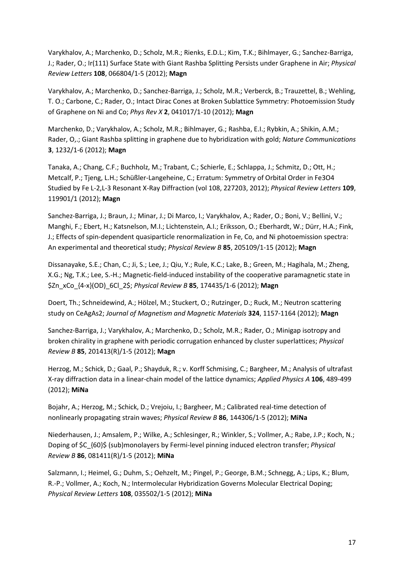Varykhalov, A.; Marchenko, D.; Scholz, M.R.; Rienks, E.D.L.; Kim, T.K.; Bihlmayer, G.; Sanchez-Barriga, J.; Rader, O.; Ir(111) Surface State with Giant Rashba Splitting Persists under Graphene in Air; *Physical Review Letters* **108**, 066804/1-5 (2012); **Magn**

Varykhalov, A.; Marchenko, D.; Sanchez-Barriga, J.; Scholz, M.R.; Verberck, B.; Trauzettel, B.; Wehling, T. O.; Carbone, C.; Rader, O.; Intact Dirac Cones at Broken Sublattice Symmetry: Photoemission Study of Graphene on Ni and Co; *Phys Rev X* **2**, 041017/1-10 (2012); **Magn**

Marchenko, D.; Varykhalov, A.; Scholz, M.R.; Bihlmayer, G.; Rashba, E.I.; Rybkin, A.; Shikin, A.M.; Rader, O,.; Giant Rashba splitting in graphene due to hybridization with gold; *Nature Communications* **3**, 1232/1-6 (2012); **Magn**

Tanaka, A.; Chang, C.F.; Buchholz, M.; Trabant, C.; Schierle, E.; Schlappa, J.; Schmitz, D.; Ott, H.; Metcalf, P.; Tjeng, L.H.; Schüßler-Langeheine, C.; Erratum: Symmetry of Orbital Order in Fe3O4 Studied by Fe L-2,L-3 Resonant X-Ray Diffraction (vol 108, 227203, 2012); *Physical Review Letters* **109**, 119901/1 (2012); **Magn**

Sanchez-Barriga, J.; Braun, J.; Minar, J.; Di Marco, I.; Varykhalov, A.; Rader, O.; Boni, V.; Bellini, V.; Manghi, F.; Ebert, H.; Katsnelson, M.I.; Lichtenstein, A.I.; Eriksson, O.; Eberhardt, W.; Dürr, H.A.; Fink, J.; Effects of spin-dependent quasiparticle renormalization in Fe, Co, and Ni photoemission spectra: An experimental and theoretical study; *Physical Review B* **85**, 205109/1-15 (2012); **Magn**

Dissanayake, S.E.; Chan, C.; Ji, S.; Lee, J.; Qiu, Y.; Rule, K.C.; Lake, B.; Green, M.; Hagihala, M.; Zheng, X.G.; Ng, T.K.; Lee, S.-H.; Magnetic-field-induced instability of the cooperative paramagnetic state in \$Zn\_xCo\_{4-x}(OD)\_6Cl\_2\$; *Physical Review B* **85**, 174435/1-6 (2012); **Magn**

Doert, Th.; Schneidewind, A.; Hölzel, M.; Stuckert, O.; Rutzinger, D.; Ruck, M.; Neutron scattering study on CeAgAs2; *Journal of Magnetism and Magnetic Materials* **324**, 1157-1164 (2012); **Magn**

Sanchez-Barriga, J.; Varykhalov, A.; Marchenko, D.; Scholz, M.R.; Rader, O.; Minigap isotropy and broken chirality in graphene with periodic corrugation enhanced by cluster superlattices; *Physical Review B* **85**, 201413(R)/1-5 (2012); **Magn**

Herzog, M.; Schick, D.; Gaal, P.; Shayduk, R.; v. Korff Schmising, C.; Bargheer, M.; Analysis of ultrafast X-ray diffraction data in a linear-chain model of the lattice dynamics; *Applied Physics A* **106**, 489-499 (2012); **MiNa**

Bojahr, A.; Herzog, M.; Schick, D.; Vrejoiu, I.; Bargheer, M.; Calibrated real-time detection of nonlinearly propagating strain waves; *Physical Review B* **86**, 144306/1-5 (2012); **MiNa**

Niederhausen, J.; Amsalem, P.; Wilke, A.; Schlesinger, R.; Winkler, S.; Vollmer, A.; Rabe, J.P.; Koch, N.; Doping of \$C\_{60}\$ (sub)monolayers by Fermi-level pinning induced electron transfer; *Physical Review B* **86**, 081411(R)/1-5 (2012); **MiNa**

Salzmann, I.; Heimel, G.; Duhm, S.; Oehzelt, M.; Pingel, P.; George, B.M.; Schnegg, A.; Lips, K.; Blum, R.-P.; Vollmer, A.; Koch, N.; Intermolecular Hybridization Governs Molecular Electrical Doping; *Physical Review Letters* **108**, 035502/1-5 (2012); **MiNa**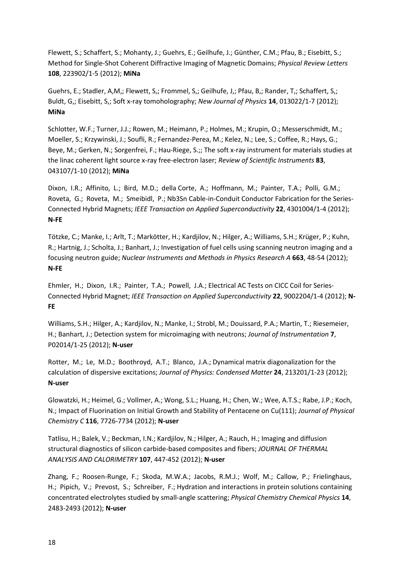Flewett, S.; Schaffert, S.; Mohanty, J.; Guehrs, E.; Geilhufe, J.; Günther, C.M.; Pfau, B.; Eisebitt, S.; Method for Single-Shot Coherent Diffractive Imaging of Magnetic Domains; *Physical Review Letters* **108**, 223902/1-5 (2012); **MiNa**

Guehrs, E.; Stadler, A,M,; Flewett, S,; Frommel, S,; Geilhufe, J,; Pfau, B,; Rander, T,; Schaffert, S,; Buldt, G,; Eisebitt, S,; Soft x-ray tomoholography; *New Journal of Physics* **14**, 013022/1-7 (2012); **MiNa**

Schlotter, W.F.; Turner, J.J.; Rowen, M.; Heimann, P.; Holmes, M.; Krupin, O.; Messerschmidt, M.; Moeller, S.; Krzywinski, J.; Soufli, R.; Fernandez-Perea, M.; Kelez, N.; Lee, S.; Coffee, R.; Hays, G.; Beye, M.; Gerken, N.; Sorgenfrei, F.; Hau-Riege, S.;; The soft x-ray instrument for materials studies at the linac coherent light source x-ray free-electron laser; *Review of Scientific Instruments* **83**, 043107/1-10 (2012); **MiNa**

Dixon, I.R.; Affinito, L.; Bird, M.D.; della Corte, A.; Hoffmann, M.; Painter, T.A.; Polli, G.M.; Roveta, G.; Roveta, M.; Smeibidl, P.; Nb3Sn Cable-in-Conduit Conductor Fabrication for the Series-Connected Hybrid Magnets; *IEEE Transaction on Applied Superconductivity* **22**, 4301004/1-4 (2012); **N-FE**

Tötzke, C.; Manke, I.; Arlt, T.; Markötter, H.; Kardjilov, N.; Hilger, A.; Williams, S.H.; Krüger, P.; Kuhn, R.; Hartnig, J.; Scholta, J.; Banhart, J.; Investigation of fuel cells using scanning neutron imaging and a focusing neutron guide; *Nuclear Instruments and Methods in Physics Research A* **663**, 48-54 (2012); **N-FE**

Ehmler, H.; Dixon, I.R.; Painter, T.A.; Powell, J.A.; Electrical AC Tests on CICC Coil for Series-Connected Hybrid Magnet; *IEEE Transaction on Applied Superconductivity* **22**, 9002204/1-4 (2012); **N-FE**

Williams, S.H.; Hilger, A.; Kardjilov, N.; Manke, I.; Strobl, M.; Douissard, P.A.; Martin, T.; Riesemeier, H.; Banhart, J.; Detection system for microimaging with neutrons; *Journal of Instrumentation* **7**, P02014/1-25 (2012); **N-user**

Rotter, M.; Le, M.D.; Boothroyd, A.T.; Blanco, J.A.; Dynamical matrix diagonalization for the calculation of dispersive excitations; *Journal of Physics: Condensed Matter* **24**, 213201/1-23 (2012); **N-user**

Glowatzki, H.; Heimel, G.; Vollmer, A.; Wong, S.L.; Huang, H.; Chen, W.; Wee, A.T.S.; Rabe, J.P.; Koch, N.; Impact of Fluorination on Initial Growth and Stability of Pentacene on Cu(111); *Journal of Physical Chemistry C* **116**, 7726-7734 (2012); **N-user**

Tatlisu, H.; Balek, V.; Beckman, I.N.; Kardjilov, N.; Hilger, A.; Rauch, H.; Imaging and diffusion structural diagnostics of silicon carbide-based composites and fibers; *JOURNAL OF THERMAL ANALYSIS AND CALORIMETRY* **107**, 447-452 (2012); **N-user**

Zhang, F.; Roosen-Runge, F.; Skoda, M.W.A.; Jacobs, R.M.J.; Wolf, M.; Callow, P.; Frielinghaus, H.; Pipich, V.; Prevost, S.; Schreiber, F.; Hydration and interactions in protein solutions containing concentrated electrolytes studied by small-angle scattering; *Physical Chemistry Chemical Physics* **14**, 2483-2493 (2012); **N-user**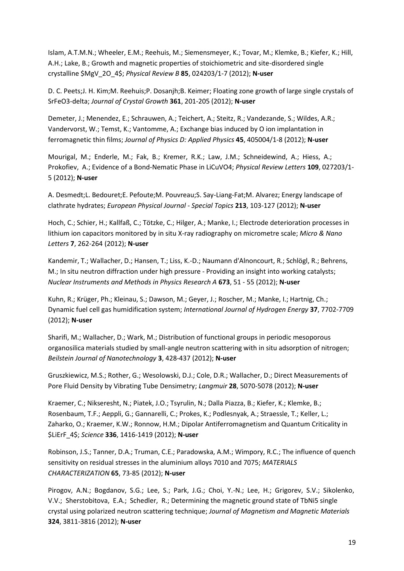Islam, A.T.M.N.; Wheeler, E.M.; Reehuis, M.; Siemensmeyer, K.; Tovar, M.; Klemke, B.; Kiefer, K.; Hill, A.H.; Lake, B.; Growth and magnetic properties of stoichiometric and site-disordered single crystalline \$MgV\_2O\_4\$; *Physical Review B* **85**, 024203/1-7 (2012); **N-user**

D. C. Peets;J. H. Kim;M. Reehuis;P. Dosanjh;B. Keimer; Floating zone growth of large single crystals of SrFeO3-delta; *Journal of Crystal Growth* **361**, 201-205 (2012); **N-user**

Demeter, J.; Menendez, E.; Schrauwen, A.; Teichert, A.; Steitz, R.; Vandezande, S.; Wildes, A.R.; Vandervorst, W.; Temst, K.; Vantomme, A.; Exchange bias induced by O ion implantation in ferromagnetic thin films; *Journal of Physics D: Applied Physics* **45**, 405004/1-8 (2012); **N-user**

Mourigal, M.; Enderle, M.; Fak, B.; Kremer, R.K.; Law, J.M.; Schneidewind, A.; Hiess, A.; Prokofiev, A.; Evidence of a Bond-Nematic Phase in LiCuVO4; *Physical Review Letters* **109**, 027203/1- 5 (2012); **N-user**

A. Desmedt;L. Bedouret;E. Pefoute;M. Pouvreau;S. Say-Liang-Fat;M. Alvarez; Energy landscape of clathrate hydrates; *European Physical Journal - Special Topics* **213**, 103-127 (2012); **N-user**

Hoch, C.; Schier, H.; Kallfaß, C.; Tötzke, C.; Hilger, A.; Manke, I.; Electrode deterioration processes in lithium ion capacitors monitored by in situ X-ray radiography on micrometre scale; *Micro & Nano Letters* **7**, 262-264 (2012); **N-user**

Kandemir, T.; Wallacher, D.; Hansen, T.; Liss, K.-D.; Naumann d'Alnoncourt, R.; Schlögl, R.; Behrens, M.; In situ neutron diffraction under high pressure - Providing an insight into working catalysts; *Nuclear Instruments and Methods in Physics Research A* **673**, 51 - 55 (2012); **N-user**

Kuhn, R.; Krüger, Ph.; Kleinau, S.; Dawson, M.; Geyer, J.; Roscher, M.; Manke, I.; Hartnig, Ch.; Dynamic fuel cell gas humidification system; *International Journal of Hydrogen Energy* **37**, 7702-7709 (2012); **N-user**

Sharifi, M.; Wallacher, D.; Wark, M.; Distribution of functional groups in periodic mesoporous organosilica materials studied by small-angle neutron scattering with in situ adsorption of nitrogen; *Beilstein Journal of Nanotechnology* **3**, 428-437 (2012); **N-user**

Gruszkiewicz, M.S.; Rother, G.; Wesolowski, D.J.; Cole, D.R.; Wallacher, D.; Direct Measurements of Pore Fluid Density by Vibrating Tube Densimetry; *Langmuir* **28**, 5070-5078 (2012); **N-user**

Kraemer, C.; Nikseresht, N.; Piatek, J.O.; Tsyrulin, N.; Dalla Piazza, B.; Kiefer, K.; Klemke, B.; Rosenbaum, T.F.; Aeppli, G.; Gannarelli, C.; Prokes, K.; Podlesnyak, A.; Straessle, T.; Keller, L.; Zaharko, O.; Kraemer, K.W.; Ronnow, H.M.; Dipolar Antiferromagnetism and Quantum Criticality in \$LiErF\_4\$; *Science* **336**, 1416-1419 (2012); **N-user**

Robinson, J.S.; Tanner, D.A.; Truman, C.E.; Paradowska, A.M.; Wimpory, R.C.; The influence of quench sensitivity on residual stresses in the aluminium alloys 7010 and 7075; *MATERIALS CHARACTERIZATION* **65**, 73-85 (2012); **N-user**

Pirogov, A.N.; Bogdanov, S.G.; Lee, S.; Park, J.G.; Choi, Y.-N.; Lee, H.; Grigorev, S.V.; Sikolenko, V.V.; Sherstobitova, E.A.; Schedler, R.; Determining the magnetic ground state of TbNi5 single crystal using polarized neutron scattering technique; *Journal of Magnetism and Magnetic Materials* **324**, 3811-3816 (2012); **N-user**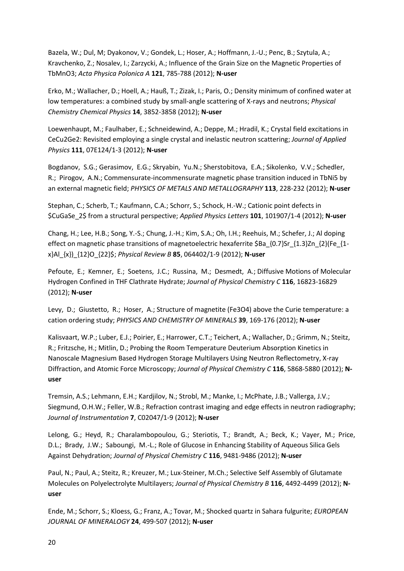Bazela, W.; Dul, M; Dyakonov, V.; Gondek, L.; Hoser, A.; Hoffmann, J.-U.; Penc, B.; Szytula, A.; Kravchenko, Z.; Nosalev, I.; Zarzycki, A.; Influence of the Grain Size on the Magnetic Properties of TbMnO3; *Acta Physica Polonica A* **121**, 785-788 (2012); **N-user**

Erko, M.; Wallacher, D.; Hoell, A.; Hauß, T.; Zizak, I.; Paris, O.; Density minimum of confined water at low temperatures: a combined study by small-angle scattering of X-rays and neutrons; *Physical Chemistry Chemical Physics* **14**, 3852-3858 (2012); **N-user**

Loewenhaupt, M.; Faulhaber, E.; Schneidewind, A.; Deppe, M.; Hradil, K.; Crystal field excitations in CeCu2Ge2: Revisited employing a single crystal and inelastic neutron scattering; *Journal of Applied Physics* **111**, 07E124/1-3 (2012); **N-user**

Bogdanov, S.G.; Gerasimov, E.G.; Skryabin, Yu.N.; Sherstobitova, E.A.; Sikolenko, V.V.; Schedler, R.; Pirogov, A.N.; Commensurate-incommensurate magnetic phase transition induced in TbNi5 by an external magnetic field; *PHYSICS OF METALS AND METALLOGRAPHY* **113**, 228-232 (2012); **N-user**

Stephan, C.; Scherb, T.; Kaufmann, C.A.; Schorr, S.; Schock, H.-W.; Cationic point defects in \$CuGaSe\_2\$ from a structural perspective; *Applied Physics Letters* **101**, 101907/1-4 (2012); **N-user**

Chang, H.; Lee, H.B.; Song, Y.-S.; Chung, J.-H.; Kim, S.A.; Oh, I.H.; Reehuis, M.; Schefer, J.; Al doping effect on magnetic phase transitions of magnetoelectric hexaferrite \$Ba\_{0.7}Sr\_{1.3}Zn\_{2}(Fe\_{1 x}Al\_{x})\_{12}O\_{22}\$; *Physical Review B* **85**, 064402/1-9 (2012); **N-user**

Pefoute, E.; Kemner, E.; Soetens, J.C.; Russina, M.; Desmedt, A.; Diffusive Motions of Molecular Hydrogen Confined in THF Clathrate Hydrate; *Journal of Physical Chemistry C* **116**, 16823-16829 (2012); **N-user**

Levy, D.; Giustetto, R.; Hoser, A.; Structure of magnetite (Fe3O4) above the Curie temperature: a cation ordering study; *PHYSICS AND CHEMISTRY OF MINERALS* **39**, 169-176 (2012); **N-user**

Kalisvaart, W.P.; Luber, E.J.; Poirier, E.; Harrower, C.T.; Teichert, A.; Wallacher, D.; Grimm, N.; Steitz, R.; Fritzsche, H.; Mitlin, D.; Probing the Room Temperature Deuterium Absorption Kinetics in Nanoscale Magnesium Based Hydrogen Storage Multilayers Using Neutron Reflectometry, X-ray Diffraction, and Atomic Force Microscopy; *Journal of Physical Chemistry C* **116**, 5868-5880 (2012); **Nuser**

Tremsin, A.S.; Lehmann, E.H.; Kardjilov, N.; Strobl, M.; Manke, I.; McPhate, J.B.; Vallerga, J.V.; Siegmund, O.H.W.; Feller, W.B.; Refraction contrast imaging and edge effects in neutron radiography; *Journal of Instrumentation* **7**, C02047/1-9 (2012); **N-user**

Lelong, G.; Heyd, R.; Charalambopoulou, G.; Steriotis, T.; Brandt, A.; Beck, K.; Vayer, M.; Price, D.L.; Brady, J.W.; Saboungi, M.-L.; Role of Glucose in Enhancing Stability of Aqueous Silica Gels Against Dehydration; *Journal of Physical Chemistry C* **116**, 9481-9486 (2012); **N-user**

Paul, N.; Paul, A.; Steitz, R.; Kreuzer, M.; Lux-Steiner, M.Ch.; Selective Self Assembly of Glutamate Molecules on Polyelectrolyte Multilayers; *Journal of Physical Chemistry B* **116**, 4492-4499 (2012); **Nuser**

Ende, M.; Schorr, S.; Kloess, G.; Franz, A.; Tovar, M.; Shocked quartz in Sahara fulgurite; *EUROPEAN JOURNAL OF MINERALOGY* **24**, 499-507 (2012); **N-user**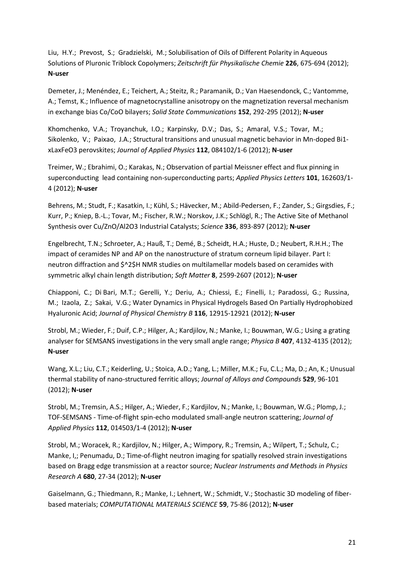Liu, H.Y.; Prevost, S.; Gradzielski, M.; Solubilisation of Oils of Different Polarity in Aqueous Solutions of Pluronic Triblock Copolymers; *Zeitschrift für Physikalische Chemie* **226**, 675-694 (2012); **N-user**

Demeter, J.; Menéndez, E.; Teichert, A.; Steitz, R.; Paramanik, D.; Van Haesendonck, C.; Vantomme, A.; Temst, K.; Influence of magnetocrystalline anisotropy on the magnetization reversal mechanism in exchange bias Co/CoO bilayers; *Solid State Communications* **152**, 292-295 (2012); **N-user**

Khomchenko, V.A.; Troyanchuk, I.O.; Karpinsky, D.V.; Das, S.; Amaral, V.S.; Tovar, M.; Sikolenko, V.; Paixao, J.A.; Structural transitions and unusual magnetic behavior in Mn-doped Bi1 xLaxFeO3 perovskites; *Journal of Applied Physics* **112**, 084102/1-6 (2012); **N-user**

Treimer, W.; Ebrahimi, O.; Karakas, N.; Observation of partial Meissner effect and flux pinning in superconducting lead containing non-superconducting parts; *Applied Physics Letters* **101**, 162603/1- 4 (2012); **N-user**

Behrens, M.; Studt, F.; Kasatkin, I.; Kühl, S.; Hävecker, M.; Abild-Pedersen, F.; Zander, S.; Girgsdies, F.; Kurr, P.; Kniep, B.-L.; Tovar, M.; Fischer, R.W.; Norskov, J.K.; Schlögl, R.; The Active Site of Methanol Synthesis over Cu/ZnO/Al2O3 Industrial Catalysts; *Science* **336**, 893-897 (2012); **N-user**

Engelbrecht, T.N.; Schroeter, A.; Hauß, T.; Demé, B.; Scheidt, H.A.; Huste, D.; Neubert, R.H.H.; The impact of ceramides NP and AP on the nanostructure of stratum corneum lipid bilayer. Part I: neutron diffraction and \$^2\$H NMR studies on multilamellar models based on ceramides with symmetric alkyl chain length distribution; *Soft Matter* **8**, 2599-2607 (2012); **N-user**

Chiapponi, C.; Di Bari, M.T.; Gerelli, Y.; Deriu, A.; Chiessi, E.; Finelli, I.; Paradossi, G.; Russina, M.; Izaola, Z.; Sakai, V.G.; Water Dynamics in Physical Hydrogels Based On Partially Hydrophobized Hyaluronic Acid; *Journal of Physical Chemistry B* **116**, 12915-12921 (2012); **N-user**

Strobl, M.; Wieder, F.; Duif, C.P.; Hilger, A.; Kardjilov, N.; Manke, I.; Bouwman, W.G.; Using a grating analyser for SEMSANS investigations in the very small angle range; *Physica B* **407**, 4132-4135 (2012); **N-user**

Wang, X.L.; Liu, C.T.; Keiderling, U.; Stoica, A.D.; Yang, L.; Miller, M.K.; Fu, C.L.; Ma, D.; An, K.; Unusual thermal stability of nano-structured ferritic alloys; *Journal of Alloys and Compounds* **529**, 96-101 (2012); **N-user**

Strobl, M.; Tremsin, A.S.; Hilger, A.; Wieder, F.; Kardjilov, N.; Manke, I.; Bouwman, W.G.; Plomp, J.; TOF-SEMSANS - Time-of-flight spin-echo modulated small-angle neutron scattering; *Journal of Applied Physics* **112**, 014503/1-4 (2012); **N-user**

Strobl, M.; Woracek, R.; Kardjilov, N.; Hilger, A.; Wimpory, R.; Tremsin, A.; Wilpert, T.; Schulz, C.; Manke, I,; Penumadu, D.; Time-of-flight neutron imaging for spatially resolved strain investigations based on Bragg edge transmission at a reactor source; *Nuclear Instruments and Methods in Physics Research A* **680**, 27-34 (2012); **N-user**

Gaiselmann, G.; Thiedmann, R.; Manke, I.; Lehnert, W.; Schmidt, V.; Stochastic 3D modeling of fiberbased materials; *COMPUTATIONAL MATERIALS SCIENCE* **59**, 75-86 (2012); **N-user**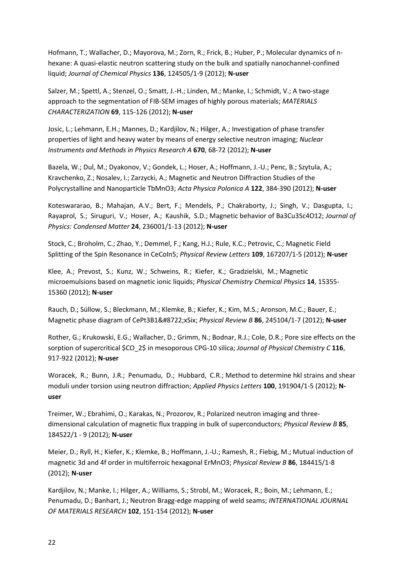Hofmann, T.; Wallacher, D.; Mayorova, M.; Zorn, R.; Frick, B.; Huber, P.; Molecular dynamics of nhexane: A quasi-elastic neutron scattering study on the bulk and spatially nanochannel-confined liquid; *Journal of Chemical Physics* **136**, 124505/1-9 (2012); **N-user**

Salzer, M.; Spettl, A.; Stenzel, O.; Smatt, J.-H.; Linden, M.; Manke, I.; Schmidt, V.; A two-stage approach to the segmentation of FIB-SEM images of highly porous materials; *MATERIALS CHARACTERIZATION* **69**, 115-126 (2012); **N-user**

Josic, L.; Lehmann, E.H.; Mannes, D.; Kardjilov, N.; Hilger, A.; Investigation of phase transfer properties of light and heavy water by means of energy selective neutron imaging; *Nuclear Instruments and Methods in Physics Research A* **670**, 68-72 (2012); **N-user**

Bazela, W.; Dul, M.; Dyakonov, V.; Gondek, L.; Hoser, A.; Hoffmann, J.-U.; Penc, B.; Szytula, A.; Kravchenko, Z.; Nosalev, I.; Zarzycki, A.; Magnetic and Neutron Diffraction Studies of the Polycrystalline and Nanoparticle TbMnO3; *Acta Physica Polonica A* **122**, 384-390 (2012); **N-user**

Koteswararao, B.; Mahajan, A.V.; Bert, F.; Mendels, P.; Chakraborty, J.; Singh, V.; Dasgupta, I.; Rayaprol, S.; Siruguri, V.; Hoser, A.; Kaushik, S.D.; Magnetic behavior of Ba3Cu3Sc4O12; *Journal of Physics: Condensed Matter* **24**, 236001/1-13 (2012); **N-user**

Stock, C.; Broholm, C.; Zhao, Y.; Demmel, F.; Kang, H.J.; Rule, K.C.; Petrovic, C.; Magnetic Field Splitting of the Spin Resonance in CeCoIn5; *Physical Review Letters* **109**, 167207/1-5 (2012); **N-user**

Klee, A.; Prevost, S.; Kunz, W.; Schweins, R.; Kiefer, K.; Gradzielski, M.; Magnetic microemulsions based on magnetic ionic liquids; *Physical Chemistry Chemical Physics* **14**, 15355- 15360 (2012); **N-user**

Rauch, D.; Süllow, S.; Bleckmann, M.; Klemke, B.; Kiefer, K.; Kim, M.S.; Aronson, M.C.; Bauer, E.; Magnetic phase diagram of CePt3B1−xSix; *Physical Review B* 86, 245104/1-7 (2012); N-user

Rother, G.; Krukowski, E.G.; Wallacher, D.; Grimm, N.; Bodnar, R.J.; Cole, D.R.; Pore size effects on the sorption of supercritical \$CO\_2\$ in mesoporous CPG-10 silica; *Journal of Physical Chemistry C* **116**, 917-922 (2012); **N-user**

Woracek, R.; Bunn, J.R.; Penumadu, D.; Hubbard, C.R.; Method to determine hkl strains and shear moduli under torsion using neutron diffraction; *Applied Physics Letters* **100**, 191904/1-5 (2012); **Nuser**

Treimer, W.; Ebrahimi, O.; Karakas, N.; Prozorov, R.; Polarized neutron imaging and threedimensional calculation of magnetic flux trapping in bulk of superconductors; *Physical Review B* **85**, 184522/1 - 9 (2012); **N-user**

Meier, D.; Ryll, H.; Kiefer, K.; Klemke, B.; Hoffmann, J.-U.; Ramesh, R.; Fiebig, M.; Mutual induction of magnetic 3d and 4f order in multiferroic hexagonal ErMnO3; *Physical Review B* **86**, 184415/1-8 (2012); **N-user**

Kardjilov, N.; Manke, I.; Hilger, A.; Williams, S.; Strobl, M.; Woracek, R.; Boin, M.; Lehmann, E.; Penumadu, D.; Banhart, J.; Neutron Bragg-edge mapping of weld seams; *INTERNATIONAL JOURNAL OF MATERIALS RESEARCH* **102**, 151-154 (2012); **N-user**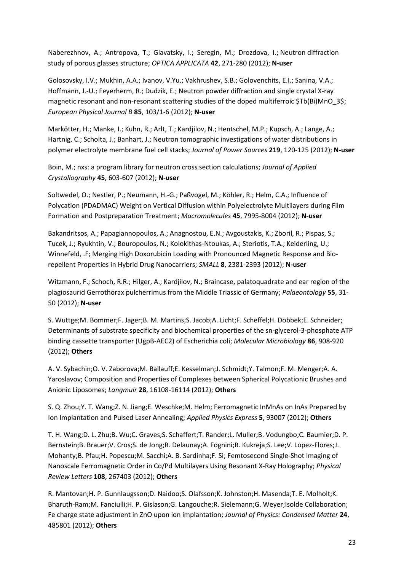Naberezhnov, A.; Antropova, T.; Glavatsky, I.; Seregin, M.; Drozdova, I.; Neutron diffraction study of porous glasses structure; *OPTICA APPLICATA* **42**, 271-280 (2012); **N-user**

Golosovsky, I.V.; Mukhin, A.A.; Ivanov, V.Yu.; Vakhrushev, S.B.; Golovenchits, E.I.; Sanina, V.A.; Hoffmann, J.-U.; Feyerherm, R.; Dudzik, E.; Neutron powder diffraction and single crystal X-ray magnetic resonant and non-resonant scattering studies of the doped multiferroic \$Tb(Bi)MnO 3\$; *European Physical Journal B* **85**, 103/1-6 (2012); **N-user**

Markötter, H.; Manke, I.; Kuhn, R.; Arlt, T.; Kardjilov, N.; Hentschel, M.P.; Kupsch, A.; Lange, A.; Hartnig, C.; Scholta, J.; Banhart, J.; Neutron tomographic investigations of water distributions in polymer electrolyte membrane fuel cell stacks; *Journal of Power Sources* **219**, 120-125 (2012); **N-user**

Boin, M.; nxs: a program library for neutron cross section calculations; *Journal of Applied Crystallography* **45**, 603-607 (2012); **N-user**

Soltwedel, O.; Nestler, P.; Neumann, H.-G.; Paßvogel, M.; Köhler, R.; Helm, C.A.; Influence of Polycation (PDADMAC) Weight on Vertical Diffusion within Polyelectrolyte Multilayers during Film Formation and Postpreparation Treatment; *Macromolecules* **45**, 7995-8004 (2012); **N-user**

Bakandritsos, A.; Papagiannopoulos, A.; Anagnostou, E.N.; Avgoustakis, K.; Zboril, R.; Pispas, S.; Tucek, J.; Ryukhtin, V.; Bouropoulos, N.; Kolokithas-Ntoukas, A.; Steriotis, T.A.; Keiderling, U.; Winnefeld, .F; Merging High Doxorubicin Loading with Pronounced Magnetic Response and Biorepellent Properties in Hybrid Drug Nanocarriers; *SMALL* **8**, 2381-2393 (2012); **N-user**

Witzmann, F.; Schoch, R.R.; Hilger, A.; Kardjilov, N.; Braincase, palatoquadrate and ear region of the plagiosaurid Gerrothorax pulcherrimus from the Middle Triassic of Germany; *Palaeontology* **55**, 31- 50 (2012); **N-user**

S. Wuttge;M. Bommer;F. Jager;B. M. Martins;S. Jacob;A. Licht;F. Scheffel;H. Dobbek;E. Schneider; Determinants of substrate specificity and biochemical properties of the sn-glycerol-3-phosphate ATP binding cassette transporter (UgpB-AEC2) of Escherichia coli; *Molecular Microbiology* **86**, 908-920 (2012); **Others**

A. V. Sybachin;O. V. Zaborova;M. Ballauff;E. Kesselman;J. Schmidt;Y. Talmon;F. M. Menger;A. A. Yaroslavov; Composition and Properties of Complexes between Spherical Polycationic Brushes and Anionic Liposomes; *Langmuir* **28**, 16108-16114 (2012); **Others**

S. Q. Zhou;Y. T. Wang;Z. N. Jiang;E. Weschke;M. Helm; Ferromagnetic InMnAs on InAs Prepared by Ion Implantation and Pulsed Laser Annealing; *Applied Physics Express* **5**, 93007 (2012); **Others**

T. H. Wang;D. L. Zhu;B. Wu;C. Graves;S. Schaffert;T. Rander;L. Muller;B. Vodungbo;C. Baumier;D. P. Bernstein;B. Brauer;V. Cros;S. de Jong;R. Delaunay;A. Fognini;R. Kukreja;S. Lee;V. Lopez-Flores;J. Mohanty;B. Pfau;H. Popescu;M. Sacchi;A. B. Sardinha;F. Si; Femtosecond Single-Shot Imaging of Nanoscale Ferromagnetic Order in Co/Pd Multilayers Using Resonant X-Ray Holography; *Physical Review Letters* **108**, 267403 (2012); **Others**

R. Mantovan;H. P. Gunnlaugsson;D. Naidoo;S. Olafsson;K. Johnston;H. Masenda;T. E. Molholt;K. Bharuth-Ram;M. Fanciulli;H. P. Gislason;G. Langouche;R. Sielemann;G. Weyer;Isolde Collaboration; Fe charge state adjustment in ZnO upon ion implantation; *Journal of Physics: Condensed Matter* **24**, 485801 (2012); **Others**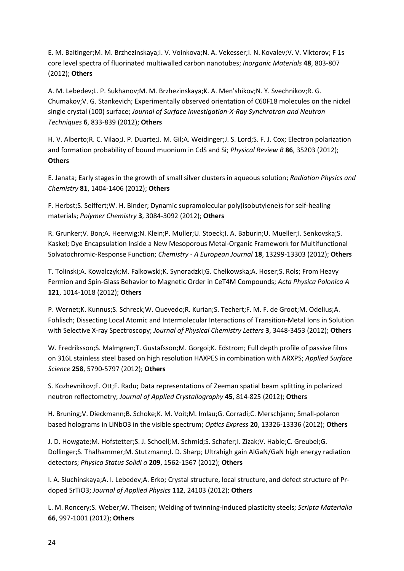E. M. Baitinger;M. M. Brzhezinskaya;I. V. Voinkova;N. A. Vekesser;I. N. Kovalev;V. V. Viktorov; F 1s core level spectra of fluorinated multiwalled carbon nanotubes; *Inorganic Materials* **48**, 803-807 (2012); **Others**

A. M. Lebedev;L. P. Sukhanov;M. M. Brzhezinskaya;K. A. Men'shikov;N. Y. Svechnikov;R. G. Chumakov;V. G. Stankevich; Experimentally observed orientation of C60F18 molecules on the nickel single crystal (100) surface; *Journal of Surface Investigation-X-Ray Synchrotron and Neutron Techniques* **6**, 833-839 (2012); **Others**

H. V. Alberto;R. C. Vilao;J. P. Duarte;J. M. Gil;A. Weidinger;J. S. Lord;S. F. J. Cox; Electron polarization and formation probability of bound muonium in CdS and Si; *Physical Review B* **86**, 35203 (2012); **Others**

E. Janata; Early stages in the growth of small silver clusters in aqueous solution; *Radiation Physics and Chemistry* **81**, 1404-1406 (2012); **Others**

F. Herbst;S. Seiffert;W. H. Binder; Dynamic supramolecular poly(isobutylene)s for self-healing materials; *Polymer Chemistry* **3**, 3084-3092 (2012); **Others**

R. Grunker;V. Bon;A. Heerwig;N. Klein;P. Muller;U. Stoeck;I. A. Baburin;U. Mueller;I. Senkovska;S. Kaskel; Dye Encapsulation Inside a New Mesoporous Metal-Organic Framework for Multifunctional Solvatochromic-Response Function; *Chemistry - A European Journal* **18**, 13299-13303 (2012); **Others**

T. Tolinski;A. Kowalczyk;M. Falkowski;K. Synoradzki;G. Chelkowska;A. Hoser;S. Rols; From Heavy Fermion and Spin-Glass Behavior to Magnetic Order in CeT4M Compounds; *Acta Physica Polonica A* **121**, 1014-1018 (2012); **Others**

P. Wernet;K. Kunnus;S. Schreck;W. Quevedo;R. Kurian;S. Techert;F. M. F. de Groot;M. Odelius;A. Fohlisch; Dissecting Local Atomic and Intermolecular Interactions of Transition-Metal Ions in Solution with Selective X-ray Spectroscopy; *Journal of Physical Chemistry Letters* **3**, 3448-3453 (2012); **Others**

W. Fredriksson;S. Malmgren;T. Gustafsson;M. Gorgoi;K. Edstrom; Full depth profile of passive films on 316L stainless steel based on high resolution HAXPES in combination with ARXPS; *Applied Surface Science* **258**, 5790-5797 (2012); **Others**

S. Kozhevnikov;F. Ott;F. Radu; Data representations of Zeeman spatial beam splitting in polarized neutron reflectometry; *Journal of Applied Crystallography* **45**, 814-825 (2012); **Others**

H. Bruning;V. Dieckmann;B. Schoke;K. M. Voit;M. Imlau;G. Corradi;C. Merschjann; Small-polaron based holograms in LiNbO3 in the visible spectrum; *Optics Express* **20**, 13326-13336 (2012); **Others**

J. D. Howgate;M. Hofstetter;S. J. Schoell;M. Schmid;S. Schafer;I. Zizak;V. Hable;C. Greubel;G. Dollinger;S. Thalhammer;M. Stutzmann;I. D. Sharp; Ultrahigh gain AlGaN/GaN high energy radiation detectors; *Physica Status Solidi a* **209**, 1562-1567 (2012); **Others**

I. A. Sluchinskaya;A. I. Lebedev;A. Erko; Crystal structure, local structure, and defect structure of Prdoped SrTiO3; *Journal of Applied Physics* **112**, 24103 (2012); **Others**

L. M. Roncery;S. Weber;W. Theisen; Welding of twinning-induced plasticity steels; *Scripta Materialia* **66**, 997-1001 (2012); **Others**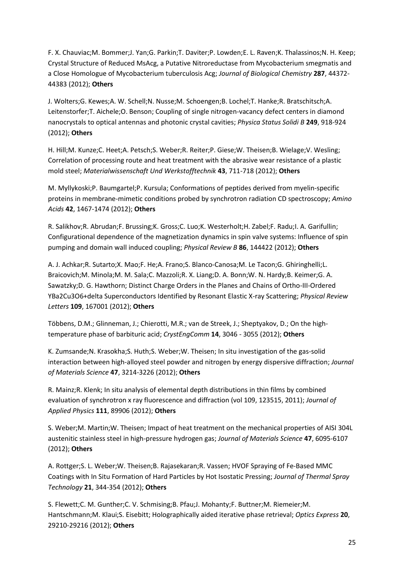F. X. Chauviac;M. Bommer;J. Yan;G. Parkin;T. Daviter;P. Lowden;E. L. Raven;K. Thalassinos;N. H. Keep; Crystal Structure of Reduced MsAcg, a Putative Nitroreductase from Mycobacterium smegmatis and a Close Homologue of Mycobacterium tuberculosis Acg; *Journal of Biological Chemistry* **287**, 44372- 44383 (2012); **Others**

J. Wolters;G. Kewes;A. W. Schell;N. Nusse;M. Schoengen;B. Lochel;T. Hanke;R. Bratschitsch;A. Leitenstorfer;T. Aichele;O. Benson; Coupling of single nitrogen-vacancy defect centers in diamond nanocrystals to optical antennas and photonic crystal cavities; *Physica Status Solidi B* **249**, 918-924 (2012); **Others**

H. Hill;M. Kunze;C. Heet;A. Petsch;S. Weber;R. Reiter;P. Giese;W. Theisen;B. Wielage;V. Wesling; Correlation of processing route and heat treatment with the abrasive wear resistance of a plastic mold steel; *Materialwissenschaft Und Werkstofftechnik* **43**, 711-718 (2012); **Others**

M. Myllykoski;P. Baumgartel;P. Kursula; Conformations of peptides derived from myelin-specific proteins in membrane-mimetic conditions probed by synchrotron radiation CD spectroscopy; *Amino Acids* **42**, 1467-1474 (2012); **Others**

R. Salikhov;R. Abrudan;F. Brussing;K. Gross;C. Luo;K. Westerholt;H. Zabel;F. Radu;I. A. Garifullin; Configurational dependence of the magnetization dynamics in spin valve systems: Influence of spin pumping and domain wall induced coupling; *Physical Review B* **86**, 144422 (2012); **Others**

A. J. Achkar;R. Sutarto;X. Mao;F. He;A. Frano;S. Blanco-Canosa;M. Le Tacon;G. Ghiringhelli;L. Braicovich;M. Minola;M. M. Sala;C. Mazzoli;R. X. Liang;D. A. Bonn;W. N. Hardy;B. Keimer;G. A. Sawatzky;D. G. Hawthorn; Distinct Charge Orders in the Planes and Chains of Ortho-III-Ordered YBa2Cu3O6+delta Superconductors Identified by Resonant Elastic X-ray Scattering; *Physical Review Letters* **109**, 167001 (2012); **Others**

Többens, D.M.; Glinneman, J.; Chierotti, M.R.; van de Streek, J.; Sheptyakov, D.; On the hightemperature phase of barbituric acid; *CrystEngComm* **14**, 3046 - 3055 (2012); **Others**

K. Zumsande;N. Krasokha;S. Huth;S. Weber;W. Theisen; In situ investigation of the gas-solid interaction between high-alloyed steel powder and nitrogen by energy dispersive diffraction; *Journal of Materials Science* **47**, 3214-3226 (2012); **Others**

R. Mainz;R. Klenk; In situ analysis of elemental depth distributions in thin films by combined evaluation of synchrotron x ray fluorescence and diffraction (vol 109, 123515, 2011); *Journal of Applied Physics* **111**, 89906 (2012); **Others**

S. Weber;M. Martin;W. Theisen; Impact of heat treatment on the mechanical properties of AISI 304L austenitic stainless steel in high-pressure hydrogen gas; *Journal of Materials Science* **47**, 6095-6107 (2012); **Others**

A. Rottger;S. L. Weber;W. Theisen;B. Rajasekaran;R. Vassen; HVOF Spraying of Fe-Based MMC Coatings with In Situ Formation of Hard Particles by Hot Isostatic Pressing; *Journal of Thermal Spray Technology* **21**, 344-354 (2012); **Others**

S. Flewett;C. M. Gunther;C. V. Schmising;B. Pfau;J. Mohanty;F. Buttner;M. Riemeier;M. Hantschmann;M. Klaui;S. Eisebitt; Holographically aided iterative phase retrieval; *Optics Express* **20**, 29210-29216 (2012); **Others**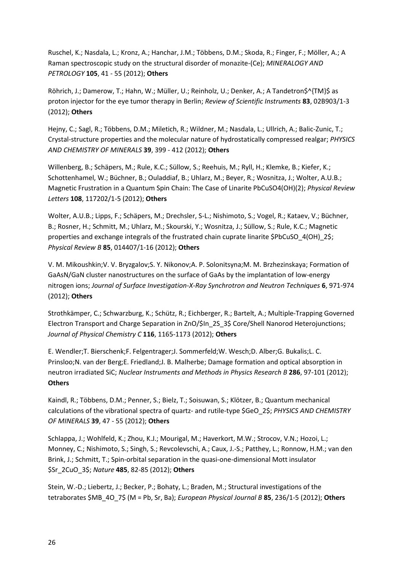Ruschel, K.; Nasdala, L.; Kronz, A.; Hanchar, J.M.; Többens, D.M.; Skoda, R.; Finger, F.; Möller, A.; A Raman spectroscopic study on the structural disorder of monazite-(Ce); *MINERALOGY AND PETROLOGY* **105**, 41 - 55 (2012); **Others**

Röhrich, J.; Damerow, T.; Hahn, W.; Müller, U.; Reinholz, U.; Denker, A.; A Tandetron\$^{TM}\$ as proton injector for the eye tumor therapy in Berlin; *Review of Scientific Instruments* **83**, 02B903/1-3 (2012); **Others**

Hejny, C.; Sagl, R.; Többens, D.M.; Miletich, R.; Wildner, M.; Nasdala, L.; Ullrich, A.; Balic-Zunic, T.; Crystal-structure properties and the molecular nature of hydrostatically compressed realgar; *PHYSICS AND CHEMISTRY OF MINERALS* **39**, 399 - 412 (2012); **Others**

Willenberg, B.; Schäpers, M.; Rule, K.C.; Süllow, S.; Reehuis, M.; Ryll, H.; Klemke, B.; Kiefer, K.; Schottenhamel, W.; Büchner, B.; Ouladdiaf, B.; Uhlarz, M.; Beyer, R.; Wosnitza, J.; Wolter, A.U.B.; Magnetic Frustration in a Quantum Spin Chain: The Case of Linarite PbCuSO4(OH)(2); *Physical Review Letters* **108**, 117202/1-5 (2012); **Others**

Wolter, A.U.B.; Lipps, F.; Schäpers, M.; Drechsler, S-L.; Nishimoto, S.; Vogel, R.; Kataev, V.; Büchner, B.; Rosner, H.; Schmitt, M.; Uhlarz, M.; Skourski, Y.; Wosnitza, J.; Süllow, S.; Rule, K.C.; Magnetic properties and exchange integrals of the frustrated chain cuprate linarite \$PbCuSO\_4(OH)\_2\$; *Physical Review B* **85**, 014407/1-16 (2012); **Others**

V. M. Mikoushkin;V. V. Bryzgalov;S. Y. Nikonov;A. P. Solonitsyna;M. M. Brzhezinskaya; Formation of GaAsN/GaN cluster nanostructures on the surface of GaAs by the implantation of low-energy nitrogen ions; *Journal of Surface Investigation-X-Ray Synchrotron and Neutron Techniques* **6**, 971-974 (2012); **Others**

Strothkämper, C.; Schwarzburg, K.; Schütz, R.; Eichberger, R.; Bartelt, A.; Multiple-Trapping Governed Electron Transport and Charge Separation in ZnO/\$In\_2S\_3\$ Core/Shell Nanorod Heterojunctions; *Journal of Physical Chemistry C* **116**, 1165-1173 (2012); **Others**

E. Wendler;T. Bierschenk;F. Felgentrager;J. Sommerfeld;W. Wesch;D. Alber;G. Bukalis;L. C. Prinsloo;N. van der Berg;E. Friedland;J. B. Malherbe; Damage formation and optical absorption in neutron irradiated SiC; *Nuclear Instruments and Methods in Physics Research B* **286**, 97-101 (2012); **Others**

Kaindl, R.; Többens, D.M.; Penner, S.; Bielz, T.; Soisuwan, S.; Klötzer, B.; Quantum mechanical calculations of the vibrational spectra of quartz- and rutile-type \$GeO\_2\$; *PHYSICS AND CHEMISTRY OF MINERALS* **39**, 47 - 55 (2012); **Others**

Schlappa, J.; Wohlfeld, K.; Zhou, K.J.; Mourigal, M.; Haverkort, M.W.; Strocov, V.N.; Hozoi, L.; Monney, C.; Nishimoto, S.; Singh, S.; Revcolevschi, A.; Caux, J.-S.; Patthey, L.; Ronnow, H.M.; van den Brink, J.; Schmitt, T.; Spin-orbital separation in the quasi-one-dimensional Mott insulator \$Sr\_2CuO\_3\$; *Nature* **485**, 82-85 (2012); **Others**

Stein, W.-D.; Liebertz, J.; Becker, P.; Bohaty, L.; Braden, M.; Structural investigations of the tetraborates \$MB\_4O\_7\$ (M = Pb, Sr, Ba); *European Physical Journal B* **85**, 236/1-5 (2012); **Others**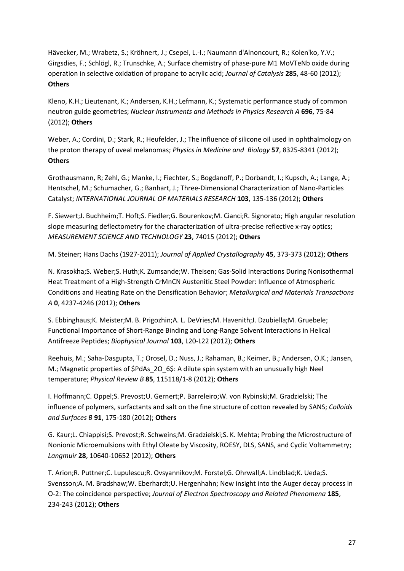Hävecker, M.; Wrabetz, S.; Kröhnert, J.; Csepei, L.-I.; Naumann d'Alnoncourt, R.; Kolen'ko, Y.V.; Girgsdies, F.; Schlögl, R.; Trunschke, A.; Surface chemistry of phase-pure M1 MoVTeNb oxide during operation in selective oxidation of propane to acrylic acid; *Journal of Catalysis* **285**, 48-60 (2012); **Others**

Kleno, K.H.; Lieutenant, K.; Andersen, K.H.; Lefmann, K.; Systematic performance study of common neutron guide geometries; *Nuclear Instruments and Methods in Physics Research A* **696**, 75-84 (2012); **Others**

Weber, A.; Cordini, D.; Stark, R.; Heufelder, J.; The influence of silicone oil used in ophthalmology on the proton therapy of uveal melanomas; *Physics in Medicine and Biology* **57**, 8325-8341 (2012); **Others**

Grothausmann, R; Zehl, G.; Manke, I.; Fiechter, S.; Bogdanoff, P.; Dorbandt, I.; Kupsch, A.; Lange, A.; Hentschel, M.; Schumacher, G.; Banhart, J.; Three-Dimensional Characterization of Nano-Particles Catalyst; *INTERNATIONAL JOURNAL OF MATERIALS RESEARCH* **103**, 135-136 (2012); **Others**

F. Siewert;J. Buchheim;T. Hoft;S. Fiedler;G. Bourenkov;M. Cianci;R. Signorato; High angular resolution slope measuring deflectometry for the characterization of ultra-precise reflective x-ray optics; *MEASUREMENT SCIENCE AND TECHNOLOGY* **23**, 74015 (2012); **Others**

M. Steiner; Hans Dachs (1927-2011); *Journal of Applied Crystallography* **45**, 373-373 (2012); **Others**

N. Krasokha;S. Weber;S. Huth;K. Zumsande;W. Theisen; Gas-Solid Interactions During Nonisothermal Heat Treatment of a High-Strength CrMnCN Austenitic Steel Powder: Influence of Atmospheric Conditions and Heating Rate on the Densification Behavior; *Metallurgical and Materials Transactions A* **0**, 4237-4246 (2012); **Others**

S. Ebbinghaus;K. Meister;M. B. Prigozhin;A. L. DeVries;M. Havenith;J. Dzubiella;M. Gruebele; Functional Importance of Short-Range Binding and Long-Range Solvent Interactions in Helical Antifreeze Peptides; *Biophysical Journal* **103**, L20-L22 (2012); **Others**

Reehuis, M.; Saha-Dasgupta, T.; Orosel, D.; Nuss, J.; Rahaman, B.; Keimer, B.; Andersen, O.K.; Jansen, M.; Magnetic properties of \$PdAs 2O 6\$: A dilute spin system with an unusually high Neel temperature; *Physical Review B* **85**, 115118/1-8 (2012); **Others**

I. Hoffmann;C. Oppel;S. Prevost;U. Gernert;P. Barreleiro;W. von Rybinski;M. Gradzielski; The influence of polymers, surfactants and salt on the fine structure of cotton revealed by SANS; *Colloids and Surfaces B* **91**, 175-180 (2012); **Others**

G. Kaur;L. Chiappisi;S. Prevost;R. Schweins;M. Gradzielski;S. K. Mehta; Probing the Microstructure of Nonionic Microemulsions with Ethyl Oleate by Viscosity, ROESY, DLS, SANS, and Cyclic Voltammetry; *Langmuir* **28**, 10640-10652 (2012); **Others**

T. Arion;R. Puttner;C. Lupulescu;R. Ovsyannikov;M. Forstel;G. Ohrwall;A. Lindblad;K. Ueda;S. Svensson;A. M. Bradshaw;W. Eberhardt;U. Hergenhahn; New insight into the Auger decay process in O-2: The coincidence perspective; *Journal of Electron Spectroscopy and Related Phenomena* **185**, 234-243 (2012); **Others**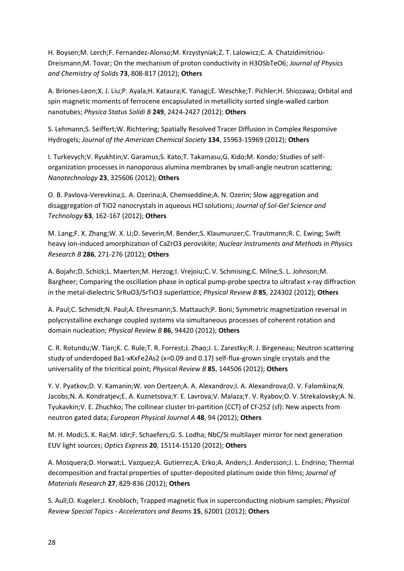H. Boysen;M. Lerch;F. Fernandez-Alonso;M. Krzystyniak;Z. T. Lalowicz;C. A. Chatzidimitriou-Dreismann;M. Tovar; On the mechanism of proton conductivity in H3OSbTeO6; *Journal of Physics and Chemistry of Solids* **73**, 808-817 (2012); **Others**

A. Briones-Leon;X. J. Liu;P. Ayala;H. Kataura;K. Yanagi;E. Weschke;T. Pichler;H. Shiozawa; Orbital and spin magnetic moments of ferrocene encapsulated in metallicity sorted single-walled carbon nanotubes; *Physica Status Solidi B* **249**, 2424-2427 (2012); **Others**

S. Lehmann;S. Seiffert;W. Richtering; Spatially Resolved Tracer Diffusion in Complex Responsive Hydrogels; *Journal of the American Chemical Society* **134**, 15963-15969 (2012); **Others**

I. Turkevych;V. Ryukhtin;V. Garamus;S. Kato;T. Takamasu;G. Kido;M. Kondo; Studies of selforganization processes in nanoporous alumina membranes by small-angle neutron scattering; *Nanotechnology* **23**, 325606 (2012); **Others**

O. B. Pavlova-Verevkina;L. A. Ozerina;A. Chemseddine;A. N. Ozerin; Slow aggregation and disaggregation of TiO2 nanocrystals in aqueous HCl solutions; *Journal of Sol-Gel Science and Technology* **63**, 162-167 (2012); **Others**

M. Lang;F. X. Zhang;W. X. Li;D. Severin;M. Bender;S. Klaumunzer;C. Trautmann;R. C. Ewing; Swift heavy ion-induced amorphization of CaZrO3 perovskite; *Nuclear Instruments and Methods in Physics Research B* **286**, 271-276 (2012); **Others**

A. Bojahr;D. Schick;L. Maerten;M. Herzog;I. Vrejoiu;C. V. Schmising;C. Milne;S. L. Johnson;M. Bargheer; Comparing the oscillation phase in optical pump-probe spectra to ultrafast x-ray diffraction in the metal-dielectric SrRuO3/SrTiO3 superlattice; *Physical Review B* **85**, 224302 (2012); **Others**

A. Paul;C. Schmidt;N. Paul;A. Ehresmann;S. Mattauch;P. Boni; Symmetric magnetization reversal in polycrystalline exchange coupled systems via simultaneous processes of coherent rotation and domain nucleation; *Physical Review B* **86**, 94420 (2012); **Others**

C. R. Rotundu;W. Tian;K. C. Rule;T. R. Forrest;J. Zhao;J. L. Zarestky;R. J. Birgeneau; Neutron scattering study of underdoped Ba1-xKxFe2As2 (x=0.09 and 0.17) self-flux-grown single crystals and the universality of the tricritical point; *Physical Review B* **85**, 144506 (2012); **Others**

Y. V. Pyatkov;D. V. Kamanin;W. von Oertzen;A. A. Alexandrov;I. A. Alexandrova;O. V. Falomkina;N. Jacobs;N. A. Kondratjev;E. A. Kuznetsova;Y. E. Lavrova;V. Malaza;Y. V. Ryabov;O. V. Strekalovsky;A. N. Tyukavkin;V. E. Zhuchko; The collinear cluster tri-partition (CCT) of Cf-252 (sf): New aspects from neutron gated data; *European Physical Journal A* **48**, 94 (2012); **Others**

M. H. Modi;S. K. Rai;M. Idir;F. Schaefers;G. S. Lodha; NbC/Si multilayer mirror for next generation EUV light sources; *Optics Express* **20**, 15114-15120 (2012); **Others**

A. Mosquera;D. Horwat;L. Vazquez;A. Gutierrez;A. Erko;A. Anders;J. Andersson;J. L. Endrino; Thermal decomposition and fractal properties of sputter-deposited platinum oxide thin films; *Journal of Materials Research* **27**, 829-836 (2012); **Others**

S. Aull;O. Kugeler;J. Knobloch; Trapped magnetic flux in superconducting niobium samples; *Physical Review Special Topics - Accelerators and Beams* **15**, 62001 (2012); **Others**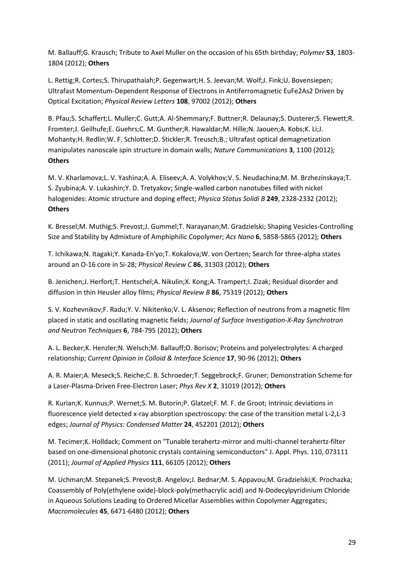M. Ballauff;G. Krausch; Tribute to Axel Muller on the occasion of his 65th birthday; *Polymer* **53**, 1803- 1804 (2012); **Others**

L. Rettig;R. Cortes;S. Thirupathaiah;P. Gegenwart;H. S. Jeevan;M. Wolf;J. Fink;U. Bovensiepen; Ultrafast Momentum-Dependent Response of Electrons in Antiferromagnetic EuFe2As2 Driven by Optical Excitation; *Physical Review Letters* **108**, 97002 (2012); **Others**

B. Pfau;S. Schaffert;L. Muller;C. Gutt;A. Al-Shemmary;F. Buttner;R. Delaunay;S. Dusterer;S. Flewett;R. Fromter;J. Geilhufe;E. Guehrs;C. M. Gunther;R. Hawaldar;M. Hille;N. Jaouen;A. Kobs;K. Li;J. Mohanty;H. Redlin;W. F. Schlotter;D. Stickler;R. Treusch;B.; Ultrafast optical demagnetization manipulates nanoscale spin structure in domain walls; *Nature Communications* **3**, 1100 (2012); **Others**

M. V. Kharlamova;L. V. Yashina;A. A. Eliseev;A. A. Volykhov;V. S. Neudachina;M. M. Brzhezinskaya;T. S. Zyubina;A. V. Lukashin;Y. D. Tretyakov; Single-walled carbon nanotubes filled with nickel halogenides: Atomic structure and doping effect; *Physica Status Solidi B* **249**, 2328-2332 (2012); **Others**

K. Bressel;M. Muthig;S. Prevost;J. Gummel;T. Narayanan;M. Gradzielski; Shaping Vesicles-Controlling Size and Stability by Admixture of Amphiphilic Copolymer; *Acs Nano* **6**, 5858-5865 (2012); **Others**

T. Ichikawa;N. Itagaki;Y. Kanada-En'yo;T. Kokalova;W. von Oertzen; Search for three-alpha states around an O-16 core in Si-28; *Physical Review C* **86**, 31303 (2012); **Others**

B. Jenichen;J. Herfort;T. Hentschel;A. Nikulin;X. Kong;A. Trampert;I. Zizak; Residual disorder and diffusion in thin Heusler alloy films; *Physical Review B* **86**, 75319 (2012); **Others**

S. V. Kozhevnikov;F. Radu;Y. V. Nikitenko;V. L. Aksenov; Reflection of neutrons from a magnetic film placed in static and oscillating magnetic fields; *Journal of Surface Investigation-X-Ray Synchrotron and Neutron Techniques* **6**, 784-795 (2012); **Others**

A. L. Becker;K. Henzler;N. Welsch;M. Ballauff;O. Borisov; Proteins and polyelectrolytes: A charged relationship; *Current Opinion in Colloid & Interface Science* **17**, 90-96 (2012); **Others**

A. R. Maier;A. Meseck;S. Reiche;C. B. Schroeder;T. Seggebrock;F. Gruner; Demonstration Scheme for a Laser-Plasma-Driven Free-Electron Laser; *Phys Rev X* **2**, 31019 (2012); **Others**

R. Kurian;K. Kunnus;P. Wernet;S. M. Butorin;P. Glatzel;F. M. F. de Groot; Intrinsic deviations in fluorescence yield detected x-ray absorption spectroscopy: the case of the transition metal L-2,L-3 edges; *Journal of Physics: Condensed Matter* **24**, 452201 (2012); **Others**

M. Tecimer;K. Holldack; Comment on "Tunable terahertz-mirror and multi-channel terahertz-filter based on one-dimensional photonic crystals containing semiconductors" J. Appl. Phys. 110, 073111 (2011); *Journal of Applied Physics* **111**, 66105 (2012); **Others**

M. Uchman;M. Stepanek;S. Prevost;B. Angelov;J. Bednar;M. S. Appavou;M. Gradzielski;K. Prochazka; Coassembly of Poly(ethylene oxide)-block-poly(methacrylic acid) and N-Dodecylpyridinium Chloride in Aqueous Solutions Leading to Ordered Micellar Assemblies within Copolymer Aggregates; *Macromolecules* **45**, 6471-6480 (2012); **Others**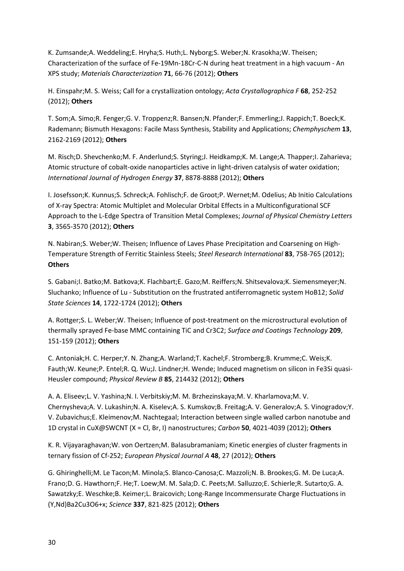K. Zumsande;A. Weddeling;E. Hryha;S. Huth;L. Nyborg;S. Weber;N. Krasokha;W. Theisen; Characterization of the surface of Fe-19Mn-18Cr-C-N during heat treatment in a high vacuum - An XPS study; *Materials Characterization* **71**, 66-76 (2012); **Others**

H. Einspahr;M. S. Weiss; Call for a crystallization ontology; *Acta Crystallographica F* **68**, 252-252 (2012); **Others**

T. Som;A. Simo;R. Fenger;G. V. Troppenz;R. Bansen;N. Pfander;F. Emmerling;J. Rappich;T. Boeck;K. Rademann; Bismuth Hexagons: Facile Mass Synthesis, Stability and Applications; *Chemphyschem* **13**, 2162-2169 (2012); **Others**

M. Risch;D. Shevchenko;M. F. Anderlund;S. Styring;J. Heidkamp;K. M. Lange;A. Thapper;I. Zaharieva; Atomic structure of cobalt-oxide nanoparticles active in light-driven catalysis of water oxidation; *International Journal of Hydrogen Energy* **37**, 8878-8888 (2012); **Others**

I. Josefsson;K. Kunnus;S. Schreck;A. Fohlisch;F. de Groot;P. Wernet;M. Odelius; Ab Initio Calculations of X-ray Spectra: Atomic Multiplet and Molecular Orbital Effects in a Multiconfigurational SCF Approach to the L-Edge Spectra of Transition Metal Complexes; *Journal of Physical Chemistry Letters* **3**, 3565-3570 (2012); **Others**

N. Nabiran;S. Weber;W. Theisen; Influence of Laves Phase Precipitation and Coarsening on High-Temperature Strength of Ferritic Stainless Steels; *Steel Research International* **83**, 758-765 (2012); **Others**

S. Gabani;I. Batko;M. Batkova;K. Flachbart;E. Gazo;M. Reiffers;N. Shitsevalova;K. Siemensmeyer;N. Sluchanko; Influence of Lu - Substitution on the frustrated antiferromagnetic system HoB12; *Solid State Sciences* **14**, 1722-1724 (2012); **Others**

A. Rottger;S. L. Weber;W. Theisen; Influence of post-treatment on the microstructural evolution of thermally sprayed Fe-base MMC containing TiC and Cr3C2; *Surface and Coatings Technology* **209**, 151-159 (2012); **Others**

C. Antoniak;H. C. Herper;Y. N. Zhang;A. Warland;T. Kachel;F. Stromberg;B. Krumme;C. Weis;K. Fauth;W. Keune;P. Entel;R. Q. Wu;J. Lindner;H. Wende; Induced magnetism on silicon in Fe3Si quasi-Heusler compound; *Physical Review B* **85**, 214432 (2012); **Others**

A. A. Eliseev;L. V. Yashina;N. I. Verbitskiy;M. M. Brzhezinskaya;M. V. Kharlamova;M. V. Chernysheva;A. V. Lukashin;N. A. Kiselev;A. S. Kumskov;B. Freitag;A. V. Generalov;A. S. Vinogradov;Y. V. Zubavichus;E. Kleimenov;M. Nachtegaal; Interaction between single walled carbon nanotube and 1D crystal in CuX@SWCNT (X = Cl, Br, I) nanostructures; *Carbon* **50**, 4021-4039 (2012); **Others**

K. R. Vijayaraghavan;W. von Oertzen;M. Balasubramaniam; Kinetic energies of cluster fragments in ternary fission of Cf-252; *European Physical Journal A* **48**, 27 (2012); **Others**

G. Ghiringhelli;M. Le Tacon;M. Minola;S. Blanco-Canosa;C. Mazzoli;N. B. Brookes;G. M. De Luca;A. Frano;D. G. Hawthorn;F. He;T. Loew;M. M. Sala;D. C. Peets;M. Salluzzo;E. Schierle;R. Sutarto;G. A. Sawatzky;E. Weschke;B. Keimer;L. Braicovich; Long-Range Incommensurate Charge Fluctuations in (Y,Nd)Ba2Cu3O6+x; *Science* **337**, 821-825 (2012); **Others**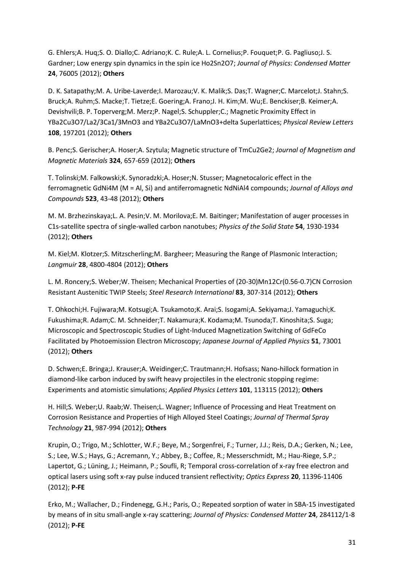G. Ehlers;A. Huq;S. O. Diallo;C. Adriano;K. C. Rule;A. L. Cornelius;P. Fouquet;P. G. Pagliuso;J. S. Gardner; Low energy spin dynamics in the spin ice Ho2Sn2O7; *Journal of Physics: Condensed Matter* **24**, 76005 (2012); **Others**

D. K. Satapathy;M. A. Uribe-Laverde;I. Marozau;V. K. Malik;S. Das;T. Wagner;C. Marcelot;J. Stahn;S. Bruck;A. Ruhm;S. Macke;T. Tietze;E. Goering;A. Frano;J. H. Kim;M. Wu;E. Benckiser;B. Keimer;A. Devishvili;B. P. Toperverg;M. Merz;P. Nagel;S. Schuppler;C.; Magnetic Proximity Effect in YBa2Cu3O7/La2/3Ca1/3MnO3 and YBa2Cu3O7/LaMnO3+delta Superlattices; *Physical Review Letters* **108**, 197201 (2012); **Others**

B. Penc;S. Gerischer;A. Hoser;A. Szytula; Magnetic structure of TmCu2Ge2; *Journal of Magnetism and Magnetic Materials* **324**, 657-659 (2012); **Others**

T. Tolinski;M. Falkowski;K. Synoradzki;A. Hoser;N. Stusser; Magnetocaloric effect in the ferromagnetic GdNi4M (M = Al, Si) and antiferromagnetic NdNiAl4 compounds; *Journal of Alloys and Compounds* **523**, 43-48 (2012); **Others**

M. M. Brzhezinskaya;L. A. Pesin;V. M. Morilova;E. M. Baitinger; Manifestation of auger processes in C1s-satellite spectra of single-walled carbon nanotubes; *Physics of the Solid State* **54**, 1930-1934 (2012); **Others**

M. Kiel;M. Klotzer;S. Mitzscherling;M. Bargheer; Measuring the Range of Plasmonic Interaction; *Langmuir* **28**, 4800-4804 (2012); **Others**

L. M. Roncery;S. Weber;W. Theisen; Mechanical Properties of (20-30)Mn12Cr(0.56-0.7)CN Corrosion Resistant Austenitic TWIP Steels; *Steel Research International* **83**, 307-314 (2012); **Others**

T. Ohkochi;H. Fujiwara;M. Kotsugi;A. Tsukamoto;K. Arai;S. Isogami;A. Sekiyama;J. Yamaguchi;K. Fukushima;R. Adam;C. M. Schneider;T. Nakamura;K. Kodama;M. Tsunoda;T. Kinoshita;S. Suga; Microscopic and Spectroscopic Studies of Light-Induced Magnetization Switching of GdFeCo Facilitated by Photoemission Electron Microscopy; *Japanese Journal of Applied Physics* **51**, 73001 (2012); **Others**

D. Schwen;E. Bringa;J. Krauser;A. Weidinger;C. Trautmann;H. Hofsass; Nano-hillock formation in diamond-like carbon induced by swift heavy projectiles in the electronic stopping regime: Experiments and atomistic simulations; *Applied Physics Letters* **101**, 113115 (2012); **Others**

H. Hill;S. Weber;U. Raab;W. Theisen;L. Wagner; Influence of Processing and Heat Treatment on Corrosion Resistance and Properties of High Alloyed Steel Coatings; *Journal of Thermal Spray Technology* **21**, 987-994 (2012); **Others**

Krupin, O.; Trigo, M.; Schlotter, W.F.; Beye, M.; Sorgenfrei, F.; Turner, J.J.; Reis, D.A.; Gerken, N.; Lee, S.; Lee, W.S.; Hays, G.; Acremann, Y.; Abbey, B.; Coffee, R.; Messerschmidt, M.; Hau-Riege, S.P.; Lapertot, G.; Lüning, J.; Heimann, P.; Soufli, R; Temporal cross-correlation of x-ray free electron and optical lasers using soft x-ray pulse induced transient reflectivity; *Optics Express* **20**, 11396-11406 (2012); **P-FE**

Erko, M.; Wallacher, D.; Findenegg, G.H.; Paris, O.; Repeated sorption of water in SBA-15 investigated by means of in situ small-angle x-ray scattering; *Journal of Physics: Condensed Matter* **24**, 284112/1-8 (2012); **P-FE**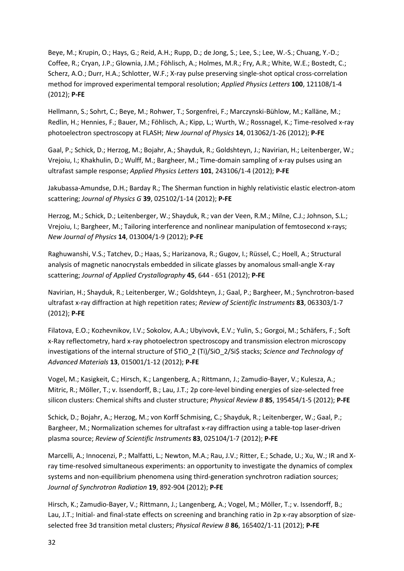Beye, M.; Krupin, O.; Hays, G.; Reid, A.H.; Rupp, D.; de Jong, S.; Lee, S.; Lee, W.-S.; Chuang, Y.-D.; Coffee, R.; Cryan, J.P.; Glownia, J.M.; Föhlisch, A.; Holmes, M.R.; Fry, A.R.; White, W.E.; Bostedt, C.; Scherz, A.O.; Durr, H.A.; Schlotter, W.F.; X-ray pulse preserving single-shot optical cross-correlation method for improved experimental temporal resolution; *Applied Physics Letters* **100**, 121108/1-4 (2012); **P-FE**

Hellmann, S.; Sohrt, C.; Beye, M.; Rohwer, T.; Sorgenfrei, F.; Marczynski-Bühlow, M.; Kalläne, M.; Redlin, H.; Hennies, F.; Bauer, M.; Föhlisch, A.; Kipp, L.; Wurth, W.; Rossnagel, K.; Time-resolved x-ray photoelectron spectroscopy at FLASH; *New Journal of Physics* **14**, 013062/1-26 (2012); **P-FE**

Gaal, P.; Schick, D.; Herzog, M.; Bojahr, A.; Shayduk, R.; Goldshteyn, J.; Navirian, H.; Leitenberger, W.; Vrejoiu, I.; Khakhulin, D.; Wulff, M.; Bargheer, M.; Time-domain sampling of x-ray pulses using an ultrafast sample response; *Applied Physics Letters* **101**, 243106/1-4 (2012); **P-FE**

Jakubassa-Amundse, D.H.; Barday R.; The Sherman function in highly relativistic elastic electron-atom scattering; *Journal of Physics G* **39**, 025102/1-14 (2012); **P-FE**

Herzog, M.; Schick, D.; Leitenberger, W.; Shayduk, R.; van der Veen, R.M.; Milne, C.J.; Johnson, S.L.; Vrejoiu, I.; Bargheer, M.; Tailoring interference and nonlinear manipulation of femtosecond x-rays; *New Journal of Physics* **14**, 013004/1-9 (2012); **P-FE**

Raghuwanshi, V.S.; Tatchev, D.; Haas, S.; Harizanova, R.; Gugov, I.; Rüssel, C.; Hoell, A.; Structural analysis of magnetic nanocrystals embedded in silicate glasses by anomalous small-angle X-ray scattering; *Journal of Applied Crystallography* **45**, 644 - 651 (2012); **P-FE**

Navirian, H.; Shayduk, R.; Leitenberger, W.; Goldshteyn, J.; Gaal, P.; Bargheer, M.; Synchrotron-based ultrafast x-ray diffraction at high repetition rates; *Review of Scientific Instruments* **83**, 063303/1-7 (2012); **P-FE**

Filatova, E.O.; Kozhevnikov, I.V.; Sokolov, A.A.; Ubyivovk, E.V.; Yulin, S.; Gorgoi, M.; Schäfers, F.; Soft x-Ray reflectometry, hard x-ray photoelectron spectroscopy and transmission electron microscopy investigations of the internal structure of \$TiO\_2 (Ti)/SiO\_2/Si\$ stacks; *Science and Technology of Advanced Materials* **13**, 015001/1-12 (2012); **P-FE**

Vogel, M.; Kasigkeit, C.; Hirsch, K.; Langenberg, A.; Rittmann, J.; Zamudio-Bayer, V.; Kulesza, A.; Mitric, R.; Möller, T.; v. Issendorff, B.; Lau, J.T.; 2p core-level binding energies of size-selected free silicon clusters: Chemical shifts and cluster structure; *Physical Review B* **85**, 195454/1-5 (2012); **P-FE**

Schick, D.; Bojahr, A.; Herzog, M.; von Korff Schmising, C.; Shayduk, R.; Leitenberger, W.; Gaal, P.; Bargheer, M.; Normalization schemes for ultrafast x-ray diffraction using a table-top laser-driven plasma source; *Review of Scientific Instruments* **83**, 025104/1-7 (2012); **P-FE**

Marcelli, A.; Innocenzi, P.; Malfatti, L.; Newton, M.A.; Rau, J.V.; Ritter, E.; Schade, U.; Xu, W.; IR and Xray time-resolved simultaneous experiments: an opportunity to investigate the dynamics of complex systems and non-equilibrium phenomena using third-generation synchrotron radiation sources; *Journal of Synchrotron Radiation* **19**, 892-904 (2012); **P-FE**

Hirsch, K.; Zamudio-Bayer, V.; Rittmann, J.; Langenberg, A.; Vogel, M.; Möller, T.; v. Issendorff, B.; Lau, J.T.; Initial- and final-state effects on screening and branching ratio in 2p x-ray absorption of sizeselected free 3d transition metal clusters; *Physical Review B* **86**, 165402/1-11 (2012); **P-FE**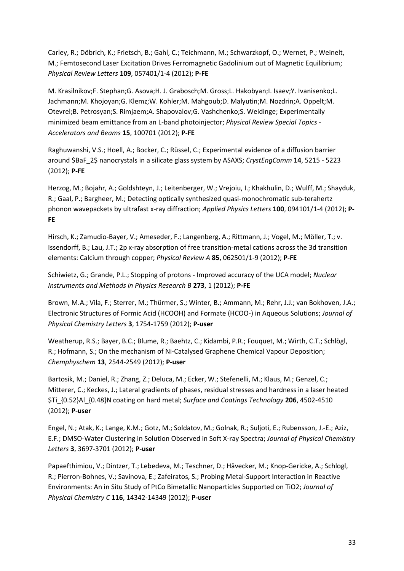Carley, R.; Döbrich, K.; Frietsch, B.; Gahl, C.; Teichmann, M.; Schwarzkopf, O.; Wernet, P.; Weinelt, M.; Femtosecond Laser Excitation Drives Ferromagnetic Gadolinium out of Magnetic Equilibrium; *Physical Review Letters* **109**, 057401/1-4 (2012); **P-FE**

M. Krasilnikov;F. Stephan;G. Asova;H. J. Grabosch;M. Gross;L. Hakobyan;I. Isaev;Y. Ivanisenko;L. Jachmann;M. Khojoyan;G. Klemz;W. Kohler;M. Mahgoub;D. Malyutin;M. Nozdrin;A. Oppelt;M. Otevrel;B. Petrosyan;S. Rimjaem;A. Shapovalov;G. Vashchenko;S. Weidinge; Experimentally minimized beam emittance from an L-band photoinjector; *Physical Review Special Topics - Accelerators and Beams* **15**, 100701 (2012); **P-FE**

Raghuwanshi, V.S.; Hoell, A.; Bocker, C.; Rüssel, C.; Experimental evidence of a diffusion barrier around \$BaF\_2\$ nanocrystals in a silicate glass system by ASAXS; *CrystEngComm* **14**, 5215 - 5223 (2012); **P-FE**

Herzog, M.; Bojahr, A.; Goldshteyn, J.; Leitenberger, W.; Vrejoiu, I.; Khakhulin, D.; Wulff, M.; Shayduk, R.; Gaal, P.; Bargheer, M.; Detecting optically synthesized quasi-monochromatic sub-terahertz phonon wavepackets by ultrafast x-ray diffraction; *Applied Physics Letters* **100**, 094101/1-4 (2012); **P-FE**

Hirsch, K.; Zamudio-Bayer, V.; Ameseder, F.; Langenberg, A.; Rittmann, J.; Vogel, M.; Möller, T.; v. Issendorff, B.; Lau, J.T.; 2p x-ray absorption of free transition-metal cations across the 3d transition elements: Calcium through copper; *Physical Review A* **85**, 062501/1-9 (2012); **P-FE**

Schiwietz, G.; Grande, P.L.; Stopping of protons - Improved accuracy of the UCA model; *Nuclear Instruments and Methods in Physics Research B* **273**, 1 (2012); **P-FE**

Brown, M.A.; Vila, F.; Sterrer, M.; Thürmer, S.; Winter, B.; Ammann, M.; Rehr, J.J.; van Bokhoven, J.A.; Electronic Structures of Formic Acid (HCOOH) and Formate (HCOO-) in Aqueous Solutions; *Journal of Physical Chemistry Letters* **3**, 1754-1759 (2012); **P-user**

Weatherup, R.S.; Bayer, B.C.; Blume, R.; Baehtz, C.; Kidambi, P.R.; Fouquet, M.; Wirth, C.T.; Schlögl, R.; Hofmann, S.; On the mechanism of Ni-Catalysed Graphene Chemical Vapour Deposition; *Chemphyschem* **13**, 2544-2549 (2012); **P-user**

Bartosik, M.; Daniel, R.; Zhang, Z.; Deluca, M.; Ecker, W.; Stefenelli, M.; Klaus, M.; Genzel, C.; Mitterer, C.; Keckes, J.; Lateral gradients of phases, residual stresses and hardness in a laser heated \$Ti\_{0.52}Al\_{0.48}N coating on hard metal; *Surface and Coatings Technology* **206**, 4502-4510 (2012); **P-user**

Engel, N.; Atak, K.; Lange, K.M.; Gotz, M.; Soldatov, M.; Golnak, R.; Suljoti, E.; Rubensson, J.-E.; Aziz, E.F.; DMSO-Water Clustering in Solution Observed in Soft X-ray Spectra; *Journal of Physical Chemistry Letters* **3**, 3697-3701 (2012); **P-user**

Papaefthimiou, V.; Dintzer, T.; Lebedeva, M.; Teschner, D.; Hävecker, M.; Knop-Gericke, A.; Schlogl, R.; Pierron-Bohnes, V.; Savinova, E.; Zafeiratos, S.; Probing Metal-Support Interaction in Reactive Environments: An in Situ Study of PtCo Bimetallic Nanoparticles Supported on TiO2; *Journal of Physical Chemistry C* **116**, 14342-14349 (2012); **P-user**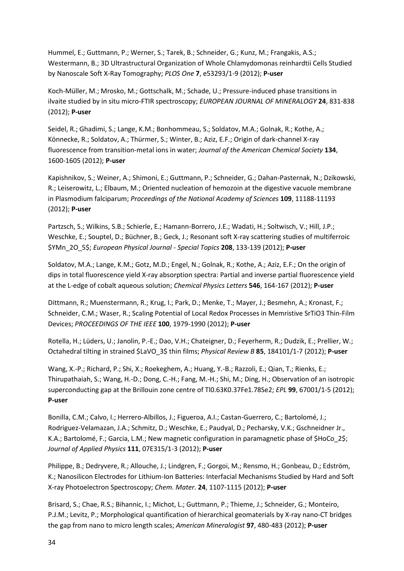Hummel, E.; Guttmann, P.; Werner, S.; Tarek, B.; Schneider, G.; Kunz, M.; Frangakis, A.S.; Westermann, B.; 3D Ultrastructural Organization of Whole Chlamydomonas reinhardtii Cells Studied by Nanoscale Soft X-Ray Tomography; *PLOS One* **7**, e53293/1-9 (2012); **P-user**

Koch-Müller, M.; Mrosko, M.; Gottschalk, M.; Schade, U.; Pressure-induced phase transitions in ilvaite studied by in situ micro-FTIR spectroscopy; *EUROPEAN JOURNAL OF MINERALOGY* **24**, 831-838 (2012); **P-user**

Seidel, R.; Ghadimi, S.; Lange, K.M.; Bonhommeau, S.; Soldatov, M.A.; Golnak, R.; Kothe, A.; Könnecke, R.; Soldatov, A.; Thürmer, S.; Winter, B.; Aziz, E.F.; Origin of dark-channel X-ray fluorescence from transition-metal ions in water; *Journal of the American Chemical Society* **134**, 1600-1605 (2012); **P-user**

Kapishnikov, S.; Weiner, A.; Shimoni, E.; Guttmann, P.; Schneider, G.; Dahan-Pasternak, N.; Dzikowski, R.; Leiserowitz, L.; Elbaum, M.; Oriented nucleation of hemozoin at the digestive vacuole membrane in Plasmodium falciparum; *Proceedings of the National Academy of Sciences* **109**, 11188-11193 (2012); **P-user**

Partzsch, S.; Wilkins, S.B.; Schierle, E.; Hamann-Borrero, J.E.; Wadati, H.; Soltwisch, V.; Hill, J.P.; Weschke, E.; Souptel, D.; Büchner, B.; Geck, J.; Resonant soft X-ray scattering studies of multiferroic \$YMn\_2O\_5\$; *European Physical Journal - Special Topics* **208**, 133-139 (2012); **P-user**

Soldatov, M.A.; Lange, K.M.; Gotz, M.D.; Engel, N.; Golnak, R.; Kothe, A.; Aziz, E.F.; On the origin of dips in total fluorescence yield X-ray absorption spectra: Partial and inverse partial fluorescence yield at the L-edge of cobalt aqueous solution; *Chemical Physics Letters* **546**, 164-167 (2012); **P-user**

Dittmann, R.; Muenstermann, R.; Krug, I.; Park, D.; Menke, T.; Mayer, J.; Besmehn, A.; Kronast, F.; Schneider, C.M.; Waser, R.; Scaling Potential of Local Redox Processes in Memristive SrTiO3 Thin-Film Devices; *PROCEEDINGS OF THE IEEE* **100**, 1979-1990 (2012); **P-user**

Rotella, H.; Lüders, U.; Janolin, P.-E.; Dao, V.H.; Chateigner, D.; Feyerherm, R.; Dudzik, E.; Prellier, W.; Octahedral tilting in strained \$LaVO\_3\$ thin films; *Physical Review B* **85**, 184101/1-7 (2012); **P-user**

Wang, X.-P.; Richard, P.; Shi, X.; Roekeghem, A.; Huang, Y.-B.; Razzoli, E.; Qian, T.; Rienks, E.; Thirupathaiah, S.; Wang, H.-D.; Dong, C.-H.; Fang, M.-H.; Shi, M.; Ding, H.; Observation of an isotropic superconducting gap at the Brillouin zone centre of Tl0.63K0.37Fe1.78Se2; *EPL* **99**, 67001/1-5 (2012); **P-user**

Bonilla, C.M.; Calvo, I.; Herrero-Albillos, J.; Figueroa, A.I.; Castan-Guerrero, C.; Bartolomé, J.; Rodriguez-Velamazan, J.A.; Schmitz, D.; Weschke, E.; Paudyal, D.; Pecharsky, V.K.; Gschneidner Jr., K.A.; Bartolomé, F.; Garcia, L.M.; New magnetic configuration in paramagnetic phase of \$HoCo\_2\$; *Journal of Applied Physics* **111**, 07E315/1-3 (2012); **P-user**

Philippe, B.; Dedryvere, R.; Allouche, J.; Lindgren, F.; Gorgoi, M.; Rensmo, H.; Gonbeau, D.; Edström, K.; Nanosilicon Electrodes for Lithium-Ion Batteries: Interfacial Mechanisms Studied by Hard and Soft X-ray Photoelectron Spectroscopy; *Chem. Mater.* **24**, 1107-1115 (2012); **P-user**

Brisard, S.; Chae, R.S.; Bihannic, I.; Michot, L.; Guttmann, P.; Thieme, J.; Schneider, G.; Monteiro, P.J.M.; Levitz, P.; Morphological quantification of hierarchical geomaterials by X-ray nano-CT bridges the gap from nano to micro length scales; *American Mineralogist* **97**, 480-483 (2012); **P-user**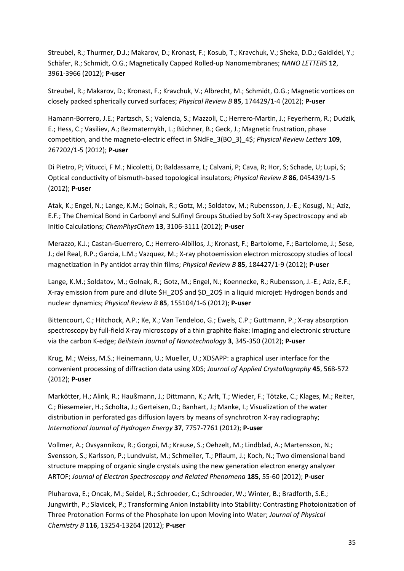Streubel, R.; Thurmer, D.J.; Makarov, D.; Kronast, F.; Kosub, T.; Kravchuk, V.; Sheka, D.D.; Gaididei, Y.; Schäfer, R.; Schmidt, O.G.; Magnetically Capped Rolled-up Nanomembranes; *NANO LETTERS* **12**, 3961-3966 (2012); **P-user**

Streubel, R.; Makarov, D.; Kronast, F.; Kravchuk, V.; Albrecht, M.; Schmidt, O.G.; Magnetic vortices on closely packed spherically curved surfaces; *Physical Review B* **85**, 174429/1-4 (2012); **P-user**

Hamann-Borrero, J.E.; Partzsch, S.; Valencia, S.; Mazzoli, C.; Herrero-Martin, J.; Feyerherm, R.; Dudzik, E.; Hess, C.; Vasiliev, A.; Bezmaternykh, L.; Büchner, B.; Geck, J.; Magnetic frustration, phase competition, and the magneto-electric effect in \$NdFe\_3(BO\_3)\_4\$; *Physical Review Letters* **109**, 267202/1-5 (2012); **P-user**

Di Pietro, P; Vitucci, F M.; Nicoletti, D; Baldassarre, L; Calvani, P; Cava, R; Hor, S; Schade, U; Lupi, S; Optical conductivity of bismuth-based topological insulators; *Physical Review B* **86**, 045439/1-5 (2012); **P-user**

Atak, K.; Engel, N.; Lange, K.M.; Golnak, R.; Gotz, M.; Soldatov, M.; Rubensson, J.-E.; Kosugi, N.; Aziz, E.F.; The Chemical Bond in Carbonyl and Sulfinyl Groups Studied by Soft X-ray Spectroscopy and ab Initio Calculations; *ChemPhysChem* **13**, 3106-3111 (2012); **P-user**

Merazzo, K.J.; Castan-Guerrero, C.; Herrero-Albillos, J.; Kronast, F.; Bartolome, F.; Bartolome, J.; Sese, J.; del Real, R.P.; Garcia, L.M.; Vazquez, M.; X-ray photoemission electron microscopy studies of local magnetization in Py antidot array thin films; *Physical Review B* **85**, 184427/1-9 (2012); **P-user**

Lange, K.M.; Soldatov, M.; Golnak, R.; Gotz, M.; Engel, N.; Koennecke, R.; Rubensson, J.-E.; Aziz, E.F.; X-ray emission from pure and dilute \$H\_2O\$ and \$D\_2O\$ in a liquid microjet: Hydrogen bonds and nuclear dynamics; *Physical Review B* **85**, 155104/1-6 (2012); **P-user**

Bittencourt, C.; Hitchock, A.P.; Ke, X.; Van Tendeloo, G.; Ewels, C.P.; Guttmann, P.; X-ray absorption spectroscopy by full-field X-ray microscopy of a thin graphite flake: Imaging and electronic structure via the carbon K-edge; *Beilstein Journal of Nanotechnology* **3**, 345-350 (2012); **P-user**

Krug, M.; Weiss, M.S.; Heinemann, U.; Mueller, U.; XDSAPP: a graphical user interface for the convenient processing of diffraction data using XDS; *Journal of Applied Crystallography* **45**, 568-572 (2012); **P-user**

Markötter, H.; Alink, R.; Haußmann, J.; Dittmann, K.; Arlt, T.; Wieder, F.; Tötzke, C.; Klages, M.; Reiter, C.; Riesemeier, H.; Scholta, J.; Gerteisen, D.; Banhart, J.; Manke, I.; Visualization of the water distribution in perforated gas diffusion layers by means of synchrotron X-ray radiography; *International Journal of Hydrogen Energy* **37**, 7757-7761 (2012); **P-user**

Vollmer, A.; Ovsyannikov, R.; Gorgoi, M.; Krause, S.; Oehzelt, M.; Lindblad, A.; Martensson, N.; Svensson, S.; Karlsson, P.; Lundvuist, M.; Schmeiler, T.; Pflaum, J.; Koch, N.; Two dimensional band structure mapping of organic single crystals using the new generation electron energy analyzer ARTOF; *Journal of Electron Spectroscopy and Related Phenomena* **185**, 55-60 (2012); **P-user**

Pluharova, E.; Oncak, M.; Seidel, R.; Schroeder, C.; Schroeder, W.; Winter, B.; Bradforth, S.E.; Jungwirth, P.; Slavicek, P.; Transforming Anion Instability into Stability: Contrasting Photoionization of Three Protonation Forms of the Phosphate Ion upon Moving into Water; *Journal of Physical Chemistry B* **116**, 13254-13264 (2012); **P-user**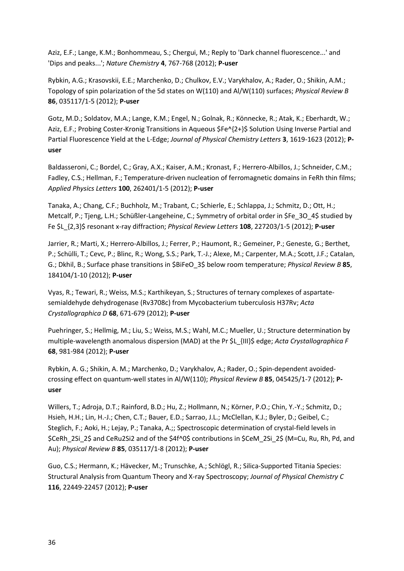Aziz, E.F.; Lange, K.M.; Bonhommeau, S.; Chergui, M.; Reply to 'Dark channel fluorescence...' and 'Dips and peaks...'; *Nature Chemistry* **4**, 767-768 (2012); **P-user**

Rybkin, A.G.; Krasovskii, E.E.; Marchenko, D.; Chulkov, E.V.; Varykhalov, A.; Rader, O.; Shikin, A.M.; Topology of spin polarization of the 5d states on W(110) and Al/W(110) surfaces; *Physical Review B* **86**, 035117/1-5 (2012); **P-user**

Gotz, M.D.; Soldatov, M.A.; Lange, K.M.; Engel, N.; Golnak, R.; Könnecke, R.; Atak, K.; Eberhardt, W.; Aziz, E.F.; Probing Coster-Kronig Transitions in Aqueous \$Fe^{2+}\$ Solution Using Inverse Partial and Partial Fluorescence Yield at the L-Edge; *Journal of Physical Chemistry Letters* **3**, 1619-1623 (2012); **Puser**

Baldasseroni, C.; Bordel, C.; Gray, A.X.; Kaiser, A.M.; Kronast, F.; Herrero-Albillos, J.; Schneider, C.M.; Fadley, C.S.; Hellman, F.; Temperature-driven nucleation of ferromagnetic domains in FeRh thin films; *Applied Physics Letters* **100**, 262401/1-5 (2012); **P-user**

Tanaka, A.; Chang, C.F.; Buchholz, M.; Trabant, C.; Schierle, E.; Schlappa, J.; Schmitz, D.; Ott, H.; Metcalf, P.; Tjeng, L.H.; Schüßler-Langeheine, C.; Symmetry of orbital order in \$Fe\_3O\_4\$ studied by Fe \$L\_{2,3}\$ resonant x-ray diffraction; *Physical Review Letters* **108**, 227203/1-5 (2012); **P-user**

Jarrier, R.; Marti, X.; Herrero-Albillos, J.; Ferrer, P.; Haumont, R.; Gemeiner, P.; Geneste, G.; Berthet, P.; Schülli, T.; Cevc, P.; Blinc, R.; Wong, S.S.; Park, T.-J.; Alexe, M.; Carpenter, M.A.; Scott, J.F.; Catalan, G.; Dkhil, B.; Surface phase transitions in \$BiFeO\_3\$ below room temperature; *Physical Review B* **85**, 184104/1-10 (2012); **P-user**

Vyas, R.; Tewari, R.; Weiss, M.S.; Karthikeyan, S.; Structures of ternary complexes of aspartatesemialdehyde dehydrogenase (Rv3708c) from Mycobacterium tuberculosis H37Rv; *Acta Crystallographica D* **68**, 671-679 (2012); **P-user**

Puehringer, S.; Hellmig, M.; Liu, S.; Weiss, M.S.; Wahl, M.C.; Mueller, U.; Structure determination by multiple-wavelength anomalous dispersion (MAD) at the Pr \$L\_{III}\$ edge; *Acta Crystallographica F* **68**, 981-984 (2012); **P-user**

Rybkin, A. G.; Shikin, A. M.; Marchenko, D.; Varykhalov, A.; Rader, O.; Spin-dependent avoidedcrossing effect on quantum-well states in Al/W(110); *Physical Review B* **85**, 045425/1-7 (2012); **Puser**

Willers, T.; Adroja, D.T.; Rainford, B.D.; Hu, Z.; Hollmann, N.; Körner, P.O.; Chin, Y.-Y.; Schmitz, D.; Hsieh, H.H.; Lin, H.-J.; Chen, C.T.; Bauer, E.D.; Sarrao, J.L.; McClellan, K.J.; Byler, D.; Geibel, C.; Steglich, F.; Aoki, H.; Lejay, P.; Tanaka, A.;; Spectroscopic determination of crystal-field levels in \$CeRh\_2Si\_2\$ and CeRu2Si2 and of the \$4f^0\$ contributions in \$CeM\_2Si\_2\$ (M=Cu, Ru, Rh, Pd, and Au); *Physical Review B* **85**, 035117/1-8 (2012); **P-user**

Guo, C.S.; Hermann, K.; Hävecker, M.; Trunschke, A.; Schlögl, R.; Silica-Supported Titania Species: Structural Analysis from Quantum Theory and X-ray Spectroscopy; *Journal of Physical Chemistry C* **116**, 22449-22457 (2012); **P-user**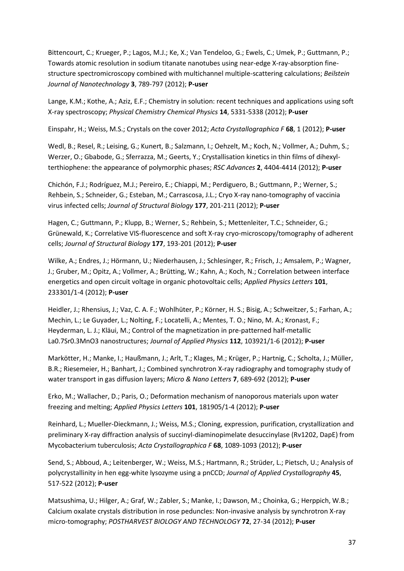Bittencourt, C.; Krueger, P.; Lagos, M.J.; Ke, X.; Van Tendeloo, G.; Ewels, C.; Umek, P.; Guttmann, P.; Towards atomic resolution in sodium titanate nanotubes using near-edge X-ray-absorption finestructure spectromicroscopy combined with multichannel multiple-scattering calculations; *Beilstein Journal of Nanotechnology* **3**, 789-797 (2012); **P-user**

Lange, K.M.; Kothe, A.; Aziz, E.F.; Chemistry in solution: recent techniques and applications using soft X-ray spectroscopy; *Physical Chemistry Chemical Physics* **14**, 5331-5338 (2012); **P-user**

Einspahr, H.; Weiss, M.S.; Crystals on the cover 2012; *Acta Crystallographica F* **68**, 1 (2012); **P-user**

Wedl, B.; Resel, R.; Leising, G.; Kunert, B.; Salzmann, I.; Oehzelt, M.; Koch, N.; Vollmer, A.; Duhm, S.; Werzer, O.; Gbabode, G.; Sferrazza, M.; Geerts, Y.; Crystallisation kinetics in thin films of dihexylterthiophene: the appearance of polymorphic phases; *RSC Advances* **2**, 4404-4414 (2012); **P-user**

Chichón, F.J.; Rodríguez, M.J.; Pereiro, E.; Chiappi, M.; Perdiguero, B.; Guttmann, P.; Werner, S.; Rehbein, S.; Schneider, G.; Esteban, M.; Carrascosa, J.L.; Cryo X-ray nano-tomography of vaccinia virus infected cells; *Journal of Structural Biology* **177**, 201-211 (2012); **P-user**

Hagen, C.; Guttmann, P.; Klupp, B.; Werner, S.; Rehbein, S.; Mettenleiter, T.C.; Schneider, G.; Grünewald, K.; Correlative VIS-fluorescence and soft X-ray cryo-microscopy/tomography of adherent cells; *Journal of Structural Biology* **177**, 193-201 (2012); **P-user**

Wilke, A.; Endres, J.; Hörmann, U.; Niederhausen, J.; Schlesinger, R.; Frisch, J.; Amsalem, P.; Wagner, J.; Gruber, M.; Opitz, A.; Vollmer, A.; Brütting, W.; Kahn, A.; Koch, N.; Correlation between interface energetics and open circuit voltage in organic photovoltaic cells; *Applied Physics Letters* **101**, 233301/1-4 (2012); **P-user**

Heidler, J.; Rhensius, J.; Vaz, C. A. F.; Wohlhüter, P.; Körner, H. S.; Bisig, A.; Schweitzer, S.; Farhan, A.; Mechin, L.; Le Guyader, L.; Nolting, F.; Locatelli, A.; Mentes, T. O.; Nino, M. A.; Kronast, F.; Heyderman, L. J.; Kläui, M.; Control of the magnetization in pre-patterned half-metallic La0.7Sr0.3MnO3 nanostructures; *Journal of Applied Physics* **112**, 103921/1-6 (2012); **P-user**

Markötter, H.; Manke, I.; Haußmann, J.; Arlt, T.; Klages, M.; Krüger, P.; Hartnig, C.; Scholta, J.; Müller, B.R.; Riesemeier, H.; Banhart, J.; Combined synchrotron X-ray radiography and tomography study of water transport in gas diffusion layers; *Micro & Nano Letters* **7**, 689-692 (2012); **P-user**

Erko, M.; Wallacher, D.; Paris, O.; Deformation mechanism of nanoporous materials upon water freezing and melting; *Applied Physics Letters* **101**, 181905/1-4 (2012); **P-user**

Reinhard, L.; Mueller-Dieckmann, J.; Weiss, M.S.; Cloning, expression, purification, crystallization and preliminary X-ray diffraction analysis of succinyl-diaminopimelate desuccinylase (Rv1202, DapE) from Mycobacterium tuberculosis; *Acta Crystallographica F* **68**, 1089-1093 (2012); **P-user**

Send, S.; Abboud, A.; Leitenberger, W.; Weiss, M.S.; Hartmann, R.; Strüder, L.; Pietsch, U.; Analysis of polycrystallinity in hen egg-white lysozyme using a pnCCD; *Journal of Applied Crystallography* **45**, 517-522 (2012); **P-user**

Matsushima, U.; Hilger, A.; Graf, W.; Zabler, S.; Manke, I.; Dawson, M.; Choinka, G.; Herppich, W.B.; Calcium oxalate crystals distribution in rose peduncles: Non-invasive analysis by synchrotron X-ray micro-tomography; *POSTHARVEST BIOLOGY AND TECHNOLOGY* **72**, 27-34 (2012); **P-user**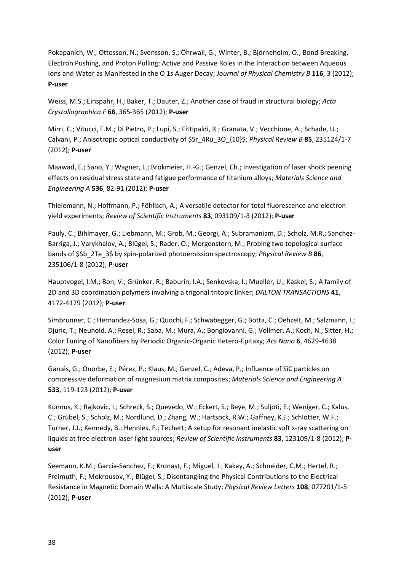Pokapanich, W.; Ottosson, N.; Svensson, S.; Öhrwall, G.; Winter, B.; Björneholm, O.; Bond Breaking, Electron Pushing, and Proton Pulling: Active and Passive Roles in the Interaction between Aqueous Ions and Water as Manifested in the O 1s Auger Decay; *Journal of Physical Chemistry B* **116**, 3 (2012); **P-user**

Weiss, M.S.; Einspahr, H.; Baker, T.; Dauter, Z.; Another case of fraud in structural biology; *Acta Crystallographica F* **68**, 365-365 (2012); **P-user**

Mirri, C.; Vitucci, F.M.; Di Pietro, P.; Lupi, S.; Fittipaldi, R.; Granata, V.; Vecchione, A.; Schade, U.; Calvani, P.; Anisotropic optical conductivity of \$Sr\_4Ru\_3O\_{10}\$; *Physical Review B* **85**, 235124/1-7 (2012); **P-user**

Maawad, E.; Sano, Y.; Wagner, L.; Brokmeier, H.-G.; Genzel, Ch.; Investigation of laser shock peening effects on residual stress state and fatigue performance of titanium alloys; *Materials Science and Engineering A* **536**, 82-91 (2012); **P-user**

Thielemann, N.; Hoffmann, P.; Föhlisch, A.; A versatile detector for total fluorescence and electron yield experiments; *Review of Scientific Instruments* **83**, 093109/1-3 (2012); **P-user**

Pauly, C.; Bihlmayer, G.; Liebmann, M.; Grob, M.; Georgi, A.; Subramaniam, D.; Scholz, M.R.; Sanchez-Barriga, J.; Varykhalov, A.; Blügel, S.; Rader, O.; Morgenstern, M.; Probing two topological surface bands of \$Sb\_2Te\_3\$ by spin-polarized photoemission spectroscopy; *Physical Review B* **86**, 235106/1-8 (2012); **P-user**

Hauptvogel, I.M.; Bon, V.; Grünker, R.; Baburin, I.A.; Senkovska, I.; Mueller, U.; Kaskel, S.; A family of 2D and 3D coordination polymers involving a trigonal tritopic linker; *DALTON TRANSACTIONS* **41**, 4172-4179 (2012); **P-user**

Simbrunner, C.; Hernandez-Sosa, G.; Quochi, F.; Schwabegger, G.; Botta, C.; Oehzelt, M.; Salzmann, I.; Djuric, T.; Neuhold, A.; Resel, R.; Saba, M.; Mura, A.; Bongiovanni, G.; Vollmer, A.; Koch, N.; Sitter, H.; Color Tuning of Nanofibers by Periodic Organic-Organic Hetero-Epitaxy; *Acs Nano* **6**, 4629-4638 (2012); **P-user**

Garcés, G.; Onorbe, E.; Pérez, P.; Klaus, M.; Genzel, C.; Adeva, P.; Influence of SiC particles on compressive deformation of magnesium matrix composites; *Materials Science and Engineering A* **533**, 119-123 (2012); **P-user**

Kunnus, K.; Rajkovic, I.; Schreck, S.; Quevedo, W.; Eckert, S.; Beye, M.; Suljoti, E.; Weniger, C.; Kalus, C.; Grübel, S.; Scholz, M.; Nordlund, D.; Zhang, W.; Hartsock, R.W.; Gaffney, K.J.; Schlotter, W.F.; Turner, J.J.; Kennedy, B.; Hennies, F.; Techert; A setup for resonant inelastic soft x-ray scattering on liquids at free electron laser light sources; *Review of Scientific Instruments* **83**, 123109/1-8 (2012); **Puser**

Seemann, K.M.; Garcia-Sanchez, F.; Kronast, F.; Miguel, J.; Kakay, A.; Schneider, C.M.; Hertel, R.; Freimuth, F.; Mokrousov, Y.; Blügel, S.; Disentangling the Physical Contributions to the Electrical Resistance in Magnetic Domain Walls: A Multiscale Study; *Physical Review Letters* **108**, 077201/1-5 (2012); **P-user**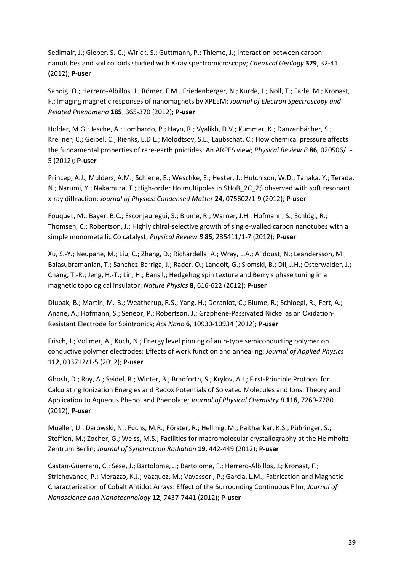Sedlmair, J.; Gleber, S.-C.; Wirick, S.; Guttmann, P.; Thieme, J.; Interaction between carbon nanotubes and soil colloids studied with X-ray spectromicroscopy; *Chemical Geology* **329**, 32-41 (2012); **P-user**

Sandig, O.; Herrero-Albillos, J.; Römer, F.M.; Friedenberger, N.; Kurde, J.; Noll, T.; Farle, M.; Kronast, F.; Imaging magnetic responses of nanomagnets by XPEEM; *Journal of Electron Spectroscopy and Related Phenomena* **185**, 365-370 (2012); **P-user**

Holder, M.G.; Jesche, A.; Lombardo, P.; Hayn, R.; Vyalikh, D.V.; Kummer, K.; Danzenbächer, S.; Krellner, C.; Geibel, C.; Rienks, E.D.L.; Molodtsov, S.L.; Laubschat, C.; How chemical pressure affects the fundamental properties of rare-earth pnictides: An ARPES view; *Physical Review B* **86**, 020506/1- 5 (2012); **P-user**

Princep, A.J.; Mulders, A.M.; Schierle, E.; Weschke, E.; Hester, J.; Hutchison, W.D.; Tanaka, Y.; Terada, N.; Narumi, Y.; Nakamura, T.; High-order Ho multipoles in \$HoB\_2C\_2\$ observed with soft resonant x-ray diffraction; *Journal of Physics: Condensed Matter* **24**, 075602/1-9 (2012); **P-user**

Fouquet, M.; Bayer, B.C.; Esconjauregui, S.; Blume, R.; Warner, J.H.; Hofmann, S.; Schlögl, R.; Thomsen, C.; Robertson, J.; Highly chiral-selective growth of single-walled carbon nanotubes with a simple monometallic Co catalyst; *Physical Review B* **85**, 235411/1-7 (2012); **P-user**

Xu, S.-Y.; Neupane, M.; Liu, C.; Zhang, D.; Richardella, A.; Wray, L.A.; Alidoust, N.; Leandersson, M.; Balasubramanian, T.; Sanchez-Barriga, J.; Rader, O.; Landolt, G.; Slomski, B.; Dil, J.H.; Osterwalder, J.; Chang, T.-R.; Jeng, H.-T.; Lin, H.; Bansil,; Hedgehog spin texture and Berry's phase tuning in a magnetic topological insulator; *Nature Physics* **8**, 616-622 (2012); **P-user**

Dlubak, B.; Martin, M.-B.; Weatherup, R.S.; Yang, H.; Deranlot, C.; Blume, R.; Schloegl, R.; Fert, A.; Anane, A.; Hofmann, S.; Seneor, P.; Robertson, J.; Graphene-Passivated Nickel as an Oxidation-Resistant Electrode for Spintronics; *Acs Nano* **6**, 10930-10934 (2012); **P-user**

Frisch, J.; Vollmer, A.; Koch, N.; Energy level pinning of an n-type semiconducting polymer on conductive polymer electrodes: Effects of work function and annealing; *Journal of Applied Physics* **112**, 033712/1-5 (2012); **P-user**

Ghosh, D.; Roy, A.; Seidel, R.; Winter, B.; Bradforth, S.; Krylov, A.I.; First-Principle Protocol for Calculating Ionization Energies and Redox Potentials of Solvated Molecules and Ions: Theory and Application to Aqueous Phenol and Phenolate; *Journal of Physical Chemistry B* **116**, 7269-7280 (2012); **P-user**

Mueller, U.; Darowski, N.; Fuchs, M.R.; Förster, R.; Hellmig, M.; Paithankar, K.S.; Pühringer, S.; Steffien, M.; Zocher, G.; Weiss, M.S.; Facilities for macromolecular crystallography at the Helmholtz-Zentrum Berlin; *Journal of Synchrotron Radiation* **19**, 442-449 (2012); **P-user**

Castan-Guerrero, C.; Sese, J.; Bartolome, J.; Bartolome, F.; Herrero-Albillos, J.; Kronast, F.; Strichovanec, P.; Merazzo, K.J.; Vazquez, M.; Vavassori, P.; Garcia, L.M.; Fabrication and Magnetic Characterization of Cobalt Antidot Arrays: Effect of the Surrounding Continuous Film; *Journal of Nanoscience and Nanotechnology* **12**, 7437-7441 (2012); **P-user**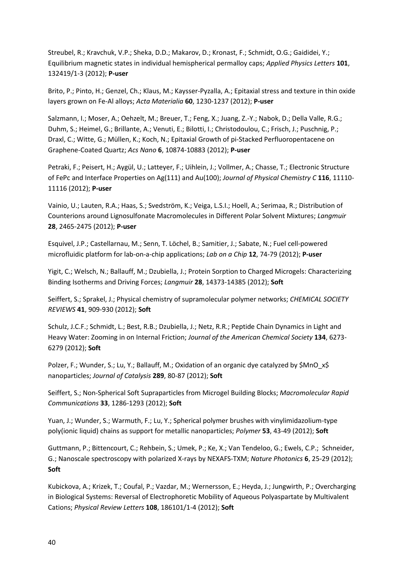Streubel, R.; Kravchuk, V.P.; Sheka, D.D.; Makarov, D.; Kronast, F.; Schmidt, O.G.; Gaididei, Y.; Equilibrium magnetic states in individual hemispherical permalloy caps; *Applied Physics Letters* **101**, 132419/1-3 (2012); **P-user**

Brito, P.; Pinto, H.; Genzel, Ch.; Klaus, M.; Kaysser-Pyzalla, A.; Epitaxial stress and texture in thin oxide layers grown on Fe-Al alloys; *Acta Materialia* **60**, 1230-1237 (2012); **P-user**

Salzmann, I.; Moser, A.; Oehzelt, M.; Breuer, T.; Feng, X.; Juang, Z.-Y.; Nabok, D.; Della Valle, R.G.; Duhm, S.; Heimel, G.; Brillante, A.; Venuti, E.; Bilotti, I.; Christodoulou, C.; Frisch, J.; Puschnig, P.; Draxl, C.; Witte, G.; Müllen, K.; Koch, N.; Epitaxial Growth of pi-Stacked Perfluoropentacene on Graphene-Coated Quartz; *Acs Nano* **6**, 10874-10883 (2012); **P-user**

Petraki, F.; Peisert, H.; Aygül, U.; Latteyer, F.; Uihlein, J.; Vollmer, A.; Chasse, T.; Electronic Structure of FePc and Interface Properties on Ag(111) and Au(100); *Journal of Physical Chemistry C* **116**, 11110- 11116 (2012); **P-user**

Vainio, U.; Lauten, R.A.; Haas, S.; Svedström, K.; Veiga, L.S.I.; Hoell, A.; Serimaa, R.; Distribution of Counterions around Lignosulfonate Macromolecules in Different Polar Solvent Mixtures; *Langmuir* **28**, 2465-2475 (2012); **P-user**

Esquivel, J.P.; Castellarnau, M.; Senn, T. Löchel, B.; Samitier, J.; Sabate, N.; Fuel cell-powered microfluidic platform for lab-on-a-chip applications; *Lab on a Chip* **12**, 74-79 (2012); **P-user**

Yigit, C.; Welsch, N.; Ballauff, M.; Dzubiella, J.; Protein Sorption to Charged Microgels: Characterizing Binding Isotherms and Driving Forces; *Langmuir* **28**, 14373-14385 (2012); **Soft**

Seiffert, S.; Sprakel, J.; Physical chemistry of supramolecular polymer networks; *CHEMICAL SOCIETY REVIEWS* **41**, 909-930 (2012); **Soft**

Schulz, J.C.F.; Schmidt, L.; Best, R.B.; Dzubiella, J.; Netz, R.R.; Peptide Chain Dynamics in Light and Heavy Water: Zooming in on Internal Friction; *Journal of the American Chemical Society* **134**, 6273- 6279 (2012); **Soft**

Polzer, F.; Wunder, S.; Lu, Y.; Ballauff, M.; Oxidation of an organic dye catalyzed by \$MnO x\$ nanoparticles; *Journal of Catalysis* **289**, 80-87 (2012); **Soft**

Seiffert, S.; Non-Spherical Soft Supraparticles from Microgel Building Blocks; *Macromolecular Rapid Communications* **33**, 1286-1293 (2012); **Soft**

Yuan, J.; Wunder, S.; Warmuth, F.; Lu, Y.; Spherical polymer brushes with vinylimidazolium-type poly(ionic liquid) chains as support for metallic nanoparticles; *Polymer* **53**, 43-49 (2012); **Soft**

Guttmann, P.; Bittencourt, C.; Rehbein, S.; Umek, P.; Ke, X.; Van Tendeloo, G.; Ewels, C.P.; Schneider, G.; Nanoscale spectroscopy with polarized X-rays by NEXAFS-TXM; *Nature Photonics* **6**, 25-29 (2012); **Soft**

Kubickova, A.; Krizek, T.; Coufal, P.; Vazdar, M.; Wernersson, E.; Heyda, J.; Jungwirth, P.; Overcharging in Biological Systems: Reversal of Electrophoretic Mobility of Aqueous Polyaspartate by Multivalent Cations; *Physical Review Letters* **108**, 186101/1-4 (2012); **Soft**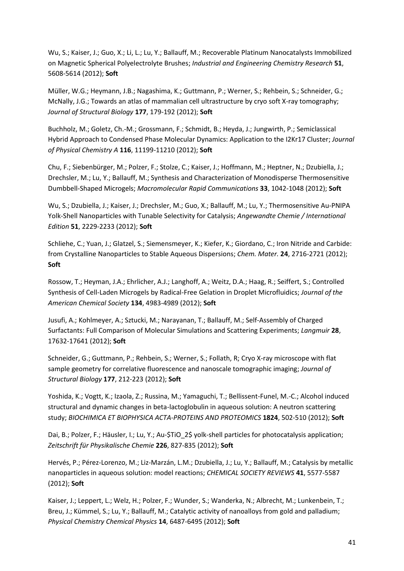Wu, S.; Kaiser, J.; Guo, X.; Li, L.; Lu, Y.; Ballauff, M.; Recoverable Platinum Nanocatalysts Immobilized on Magnetic Spherical Polyelectrolyte Brushes; *Industrial and Engineering Chemistry Research* **51**, 5608-5614 (2012); **Soft**

Müller, W.G.; Heymann, J.B.; Nagashima, K.; Guttmann, P.; Werner, S.; Rehbein, S.; Schneider, G.; McNally, J.G.; Towards an atlas of mammalian cell ultrastructure by cryo soft X-ray tomography; *Journal of Structural Biology* **177**, 179-192 (2012); **Soft**

Buchholz, M.; Goletz, Ch.-M.; Grossmann, F.; Schmidt, B.; Heyda, J.; Jungwirth, P.; Semiclassical Hybrid Approach to Condensed Phase Molecular Dynamics: Application to the I2Kr17 Cluster; *Journal of Physical Chemistry A* **116**, 11199-11210 (2012); **Soft**

Chu, F.; Siebenbürger, M.; Polzer, F.; Stolze, C.; Kaiser, J.; Hoffmann, M.; Heptner, N.; Dzubiella, J.; Drechsler, M.; Lu, Y.; Ballauff, M.; Synthesis and Characterization of Monodisperse Thermosensitive Dumbbell-Shaped Microgels; *Macromolecular Rapid Communications* **33**, 1042-1048 (2012); **Soft**

Wu, S.; Dzubiella, J.; Kaiser, J.; Drechsler, M.; Guo, X.; Ballauff, M.; Lu, Y.; Thermosensitive Au-PNIPA Yolk-Shell Nanoparticles with Tunable Selectivity for Catalysis; *Angewandte Chemie / International Edition* **51**, 2229-2233 (2012); **Soft**

Schliehe, C.; Yuan, J.; Glatzel, S.; Siemensmeyer, K.; Kiefer, K.; Giordano, C.; Iron Nitride and Carbide: from Crystalline Nanoparticles to Stable Aqueous Dispersions; *Chem. Mater.* **24**, 2716-2721 (2012); **Soft**

Rossow, T.; Heyman, J.A.; Ehrlicher, A.J.; Langhoff, A.; Weitz, D.A.; Haag, R.; Seiffert, S.; Controlled Synthesis of Cell-Laden Microgels by Radical-Free Gelation in Droplet Microfluidics; *Journal of the American Chemical Society* **134**, 4983-4989 (2012); **Soft**

Jusufi, A.; Kohlmeyer, A.; Sztucki, M.; Narayanan, T.; Ballauff, M.; Self-Assembly of Charged Surfactants: Full Comparison of Molecular Simulations and Scattering Experiments; *Langmuir* **28**, 17632-17641 (2012); **Soft**

Schneider, G.; Guttmann, P.; Rehbein, S.; Werner, S.; Follath, R; Cryo X-ray microscope with flat sample geometry for correlative fluorescence and nanoscale tomographic imaging; *Journal of Structural Biology* **177**, 212-223 (2012); **Soft**

Yoshida, K.; Vogtt, K.; Izaola, Z.; Russina, M.; Yamaguchi, T.; Bellissent-Funel, M.-C.; Alcohol induced structural and dynamic changes in beta-lactoglobulin in aqueous solution: A neutron scattering study; *BIOCHIMICA ET BIOPHYSICA ACTA-PROTEINS AND PROTEOMICS* **1824**, 502-510 (2012); **Soft**

Dai, B.; Polzer, F.; Häusler, I.; Lu, Y.; Au-\$TiO\_2\$ yolk-shell particles for photocatalysis application; *Zeitschrift für Physikalische Chemie* **226**, 827-835 (2012); **Soft**

Hervés, P.; Pérez-Lorenzo, M.; Liz-Marzán, L.M.; Dzubiella, J.; Lu, Y.; Ballauff, M.; Catalysis by metallic nanoparticles in aqueous solution: model reactions; *CHEMICAL SOCIETY REVIEWS* **41**, 5577-5587 (2012); **Soft**

Kaiser, J.; Leppert, L.; Welz, H.; Polzer, F.; Wunder, S.; Wanderka, N.; Albrecht, M.; Lunkenbein, T.; Breu, J.; Kümmel, S.; Lu, Y.; Ballauff, M.; Catalytic activity of nanoalloys from gold and palladium; *Physical Chemistry Chemical Physics* **14**, 6487-6495 (2012); **Soft**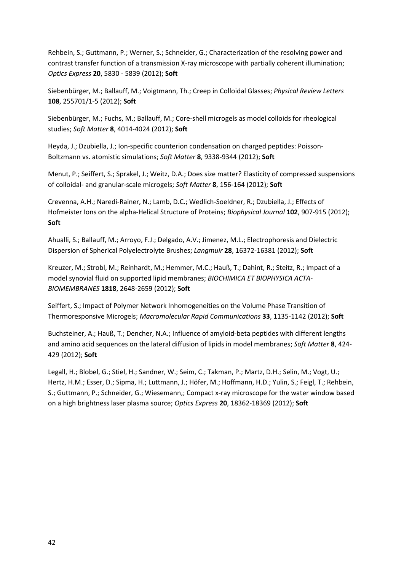Rehbein, S.; Guttmann, P.; Werner, S.; Schneider, G.; Characterization of the resolving power and contrast transfer function of a transmission X-ray microscope with partially coherent illumination; *Optics Express* **20**, 5830 - 5839 (2012); **Soft**

Siebenbürger, M.; Ballauff, M.; Voigtmann, Th.; Creep in Colloidal Glasses; *Physical Review Letters* **108**, 255701/1-5 (2012); **Soft**

Siebenbürger, M.; Fuchs, M.; Ballauff, M.; Core-shell microgels as model colloids for rheological studies; *Soft Matter* **8**, 4014-4024 (2012); **Soft**

Heyda, J.; Dzubiella, J.; Ion-specific counterion condensation on charged peptides: Poisson-Boltzmann vs. atomistic simulations; *Soft Matter* **8**, 9338-9344 (2012); **Soft**

Menut, P.; Seiffert, S.; Sprakel, J.; Weitz, D.A.; Does size matter? Elasticity of compressed suspensions of colloidal- and granular-scale microgels; *Soft Matter* **8**, 156-164 (2012); **Soft**

Crevenna, A.H.; Naredi-Rainer, N.; Lamb, D.C.; Wedlich-Soeldner, R.; Dzubiella, J.; Effects of Hofmeister Ions on the alpha-Helical Structure of Proteins; *Biophysical Journal* **102**, 907-915 (2012); **Soft**

Ahualli, S.; Ballauff, M.; Arroyo, F.J.; Delgado, A.V.; Jimenez, M.L.; Electrophoresis and Dielectric Dispersion of Spherical Polyelectrolyte Brushes; *Langmuir* **28**, 16372-16381 (2012); **Soft**

Kreuzer, M.; Strobl, M.; Reinhardt, M.; Hemmer, M.C.; Hauß, T.; Dahint, R.; Steitz, R.; Impact of a model synovial fluid on supported lipid membranes; *BIOCHIMICA ET BIOPHYSICA ACTA-BIOMEMBRANES* **1818**, 2648-2659 (2012); **Soft**

Seiffert, S.; Impact of Polymer Network Inhomogeneities on the Volume Phase Transition of Thermoresponsive Microgels; *Macromolecular Rapid Communications* **33**, 1135-1142 (2012); **Soft**

Buchsteiner, A.; Hauß, T.; Dencher, N.A.; Influence of amyloid-beta peptides with different lengths and amino acid sequences on the lateral diffusion of lipids in model membranes; *Soft Matter* **8**, 424- 429 (2012); **Soft**

Legall, H.; Blobel, G.; Stiel, H.; Sandner, W.; Seim, C.; Takman, P.; Martz, D.H.; Selin, M.; Vogt, U.; Hertz, H.M.; Esser, D.; Sipma, H.; Luttmann, J.; Höfer, M.; Hoffmann, H.D.; Yulin, S.; Feigl, T.; Rehbein, S.; Guttmann, P.; Schneider, G.; Wiesemann,; Compact x-ray microscope for the water window based on a high brightness laser plasma source; *Optics Express* **20**, 18362-18369 (2012); **Soft**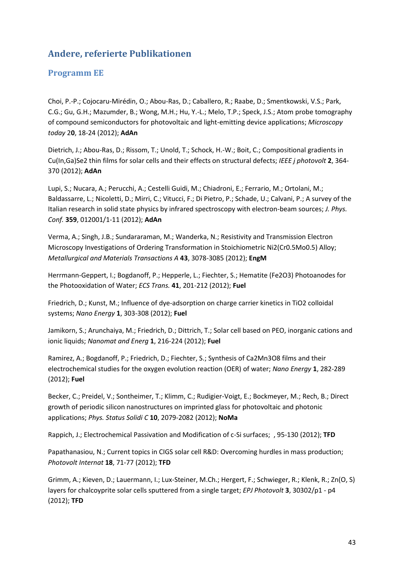## **Andere, referierte Publikationen**

### <span id="page-42-0"></span>**Programm EE**

<span id="page-42-1"></span>Choi, P.-P.; Cojocaru-Mirédin, O.; Abou-Ras, D.; Caballero, R.; Raabe, D.; Smentkowski, V.S.; Park, C.G.; Gu, G.H.; Mazumder, B.; Wong, M.H.; Hu, Y.-L.; Melo, T.P.; Speck, J.S.; Atom probe tomography of compound semiconductors for photovoltaic and light-emitting device applications; *Microscopy today* 2**0**, 18-24 (2012); **AdAn**

Dietrich, J.; Abou-Ras, D.; Rissom, T.; Unold, T.; Schock, H.-W.; Boit, C.; Compositional gradients in Cu(In,Ga)Se2 thin films for solar cells and their effects on structural defects; *IEEE j photovolt* **2**, 364- 370 (2012); **AdAn**

Lupi, S.; Nucara, A.; Perucchi, A.; Cestelli Guidi, M.; Chiadroni, E.; Ferrario, M.; Ortolani, M.; Baldassarre, L.; Nicoletti, D.; Mirri, C.; Vitucci, F.; Di Pietro, P.; Schade, U.; Calvani, P.; A survey of the Italian research in solid state physics by infrared spectroscopy with electron-beam sources; *J. Phys. Conf.* **359**, 012001/1-11 (2012); **AdAn**

Verma, A.; Singh, J.B.; Sundararaman, M.; Wanderka, N.; Resistivity and Transmission Electron Microscopy Investigations of Ordering Transformation in Stoichiometric Ni2(Cr0.5Mo0.5) Alloy; *Metallurgical and Materials Transactions A* **43**, 3078-3085 (2012); **EngM**

Herrmann-Geppert, I.; Bogdanoff, P.; Hepperle, L.; Fiechter, S.; Hematite (Fe2O3) Photoanodes for the Photooxidation of Water; *ECS Trans.* **41**, 201-212 (2012); **Fuel**

Friedrich, D.; Kunst, M.; Influence of dye-adsorption on charge carrier kinetics in TiO2 colloidal systems; *Nano Energy* **1**, 303-308 (2012); **Fuel**

Jamikorn, S.; Arunchaiya, M.; Friedrich, D.; Dittrich, T.; Solar cell based on PEO, inorganic cations and ionic liquids; *Nanomat and Energ* **1**, 216-224 (2012); **Fuel**

Ramirez, A.; Bogdanoff, P.; Friedrich, D.; Fiechter, S.; Synthesis of Ca2Mn3O8 films and their electrochemical studies for the oxygen evolution reaction (OER) of water; *Nano Energy* **1**, 282-289 (2012); **Fuel**

Becker, C.; Preidel, V.; Sontheimer, T.; Klimm, C.; Rudigier-Voigt, E.; Bockmeyer, M.; Rech, B.; Direct growth of periodic silicon nanostructures on imprinted glass for photovoltaic and photonic applications; *Phys. Status Solidi C* **10**, 2079-2082 (2012); **NoMa**

Rappich, J.; Electrochemical Passivation and Modification of c-Si surfaces; , 95-130 (2012); **TFD**

Papathanasiou, N.; Current topics in CIGS solar cell R&D: Overcoming hurdles in mass production; *Photovolt Internat* **18**, 71-77 (2012); **TFD**

Grimm, A.; Kieven, D.; Lauermann, I.; Lux-Steiner, M.Ch.; Hergert, F.; Schwieger, R.; Klenk, R.; Zn(O, S) layers for chalcoyprite solar cells sputtered from a single target; *EPJ Photovolt* **3**, 30302/p1 - p4 (2012); **TFD**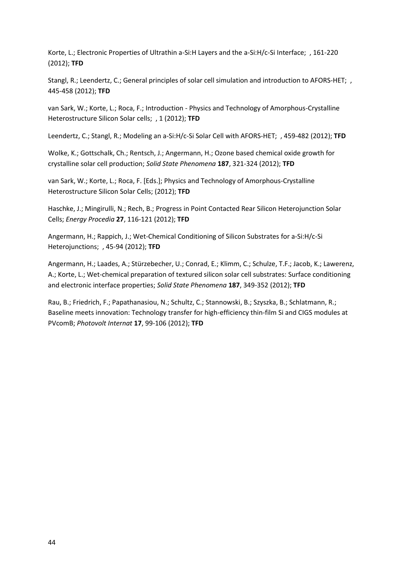Korte, L.; Electronic Properties of Ultrathin a-Si:H Layers and the a-Si:H/c-Si Interface; , 161-220 (2012); **TFD**

Stangl, R.; Leendertz, C.; General principles of solar cell simulation and introduction to AFORS-HET; , 445-458 (2012); **TFD**

van Sark, W.; Korte, L.; Roca, F.; Introduction - Physics and Technology of Amorphous-Crystalline Heterostructure Silicon Solar cells; , 1 (2012); **TFD**

Leendertz, C.; Stangl, R.; Modeling an a-Si:H/c-Si Solar Cell with AFORS-HET; , 459-482 (2012); **TFD**

Wolke, K.; Gottschalk, Ch.; Rentsch, J.; Angermann, H.; Ozone based chemical oxide growth for crystalline solar cell production; *Solid State Phenomena* **187**, 321-324 (2012); **TFD**

van Sark, W.; Korte, L.; Roca, F. [Eds.]; Physics and Technology of Amorphous-Crystalline Heterostructure Silicon Solar Cells; (2012); **TFD**

Haschke, J.; Mingirulli, N.; Rech, B.; Progress in Point Contacted Rear Silicon Heterojunction Solar Cells; *Energy Procedia* **27**, 116-121 (2012); **TFD**

Angermann, H.; Rappich, J.; Wet-Chemical Conditioning of Silicon Substrates for a-Si:H/c-Si Heterojunctions; , 45-94 (2012); **TFD**

Angermann, H.; Laades, A.; Stürzebecher, U.; Conrad, E.; Klimm, C.; Schulze, T.F.; Jacob, K.; Lawerenz, A.; Korte, L.; Wet-chemical preparation of textured silicon solar cell substrates: Surface conditioning and electronic interface properties; *Solid State Phenomena* **187**, 349-352 (2012); **TFD**

Rau, B.; Friedrich, F.; Papathanasiou, N.; Schultz, C.; Stannowski, B.; Szyszka, B.; Schlatmann, R.; Baseline meets innovation: Technology transfer for high-efficiency thin-film Si and CIGS modules at PVcomB; *Photovolt Internat* **17**, 99-106 (2012); **TFD**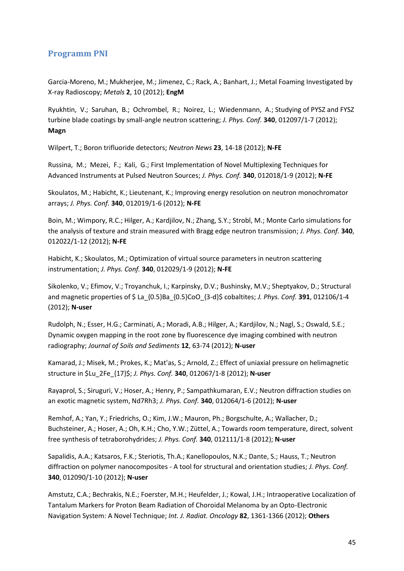#### **Programm PNI**

Garcia-Moreno, M.; Mukherjee, M.; Jimenez, C.; Rack, A.; Banhart, J.; Metal Foaming Investigated by X-ray Radioscopy; *Metals* **2**, 10 (2012); **EngM**

Ryukhtin, V.; Saruhan, B.; Ochrombel, R.; Noirez, L.; Wiedenmann, A.; Studying of PYSZ and FYSZ turbine blade coatings by small-angle neutron scattering; *J. Phys. Conf.* **340**, 012097/1-7 (2012); **Magn**

Wilpert, T.; Boron trifluoride detectors; *Neutron News* **23**, 14-18 (2012); **N-FE**

Russina, M.; Mezei, F.; Kali, G.; First Implementation of Novel Multiplexing Techniques for Advanced Instruments at Pulsed Neutron Sources; *J. Phys. Conf.* **340**, 012018/1-9 (2012); **N-FE**

Skoulatos, M.; Habicht, K.; Lieutenant, K.; Improving energy resolution on neutron monochromator arrays; *J. Phys. Conf.* **340**, 012019/1-6 (2012); **N-FE**

Boin, M.; Wimpory, R.C.; Hilger, A.; Kardjilov, N.; Zhang, S.Y.; Strobl, M.; Monte Carlo simulations for the analysis of texture and strain measured with Bragg edge neutron transmission; *J. Phys. Conf.* **340**, 012022/1-12 (2012); **N-FE**

Habicht, K.; Skoulatos, M.; Optimization of virtual source parameters in neutron scattering instrumentation; *J. Phys. Conf.* **340**, 012029/1-9 (2012); **N-FE**

Sikolenko, V.; Efimov, V.; Troyanchuk, I.; Karpinsky, D.V.; Bushinsky, M.V.; Sheptyakov, D.; Structural and magnetic properties of \$ La\_{0.5}Ba\_{0.5}CoO\_{3-d}\$ cobaltites; *J. Phys. Conf.* **391**, 012106/1-4 (2012); **N-user**

Rudolph, N.; Esser, H.G.; Carminati, A.; Moradi, A.B.; Hilger, A.; Kardjilov, N.; Nagl, S.; Oswald, S.E.; Dynamic oxygen mapping in the root zone by fluorescence dye imaging combined with neutron radiography; *Journal of Soils and Sediments* **12**, 63-74 (2012); **N-user**

Kamarad, J.; Misek, M.; Prokes, K.; Mat'as, S.; Arnold, Z.; Effect of uniaxial pressure on helimagnetic structure in \$Lu\_2Fe\_{17}\$; *J. Phys. Conf.* **340**, 012067/1-8 (2012); **N-user**

Rayaprol, S.; Siruguri, V.; Hoser, A.; Henry, P.; Sampathkumaran, E.V.; Neutron diffraction studies on an exotic magnetic system, Nd7Rh3; *J. Phys. Conf.* **340**, 012064/1-6 (2012); **N-user**

Remhof, A.; Yan, Y.; Friedrichs, O.; Kim, J.W.; Mauron, Ph.; Borgschulte, A.; Wallacher, D.; Buchsteiner, A.; Hoser, A.; Oh, K.H.; Cho, Y.W.; Züttel, A.; Towards room temperature, direct, solvent free synthesis of tetraborohydrides; *J. Phys. Conf.* **340**, 012111/1-8 (2012); **N-user**

Sapalidis, A.A.; Katsaros, F.K.; Steriotis, Th.A.; Kanellopoulos, N.K.; Dante, S.; Hauss, T.; Neutron diffraction on polymer nanocomposites - A tool for structural and orientation studies; *J. Phys. Conf.* **340**, 012090/1-10 (2012); **N-user**

Amstutz, C.A.; Bechrakis, N.E.; Foerster, M.H.; Heufelder, J.; Kowal, J.H.; Intraoperative Localization of Tantalum Markers for Proton Beam Radiation of Choroidal Melanoma by an Opto-Electronic Navigation System: A Novel Technique; *Int. J. Radiat. Oncology* **82**, 1361-1366 (2012); **Others**